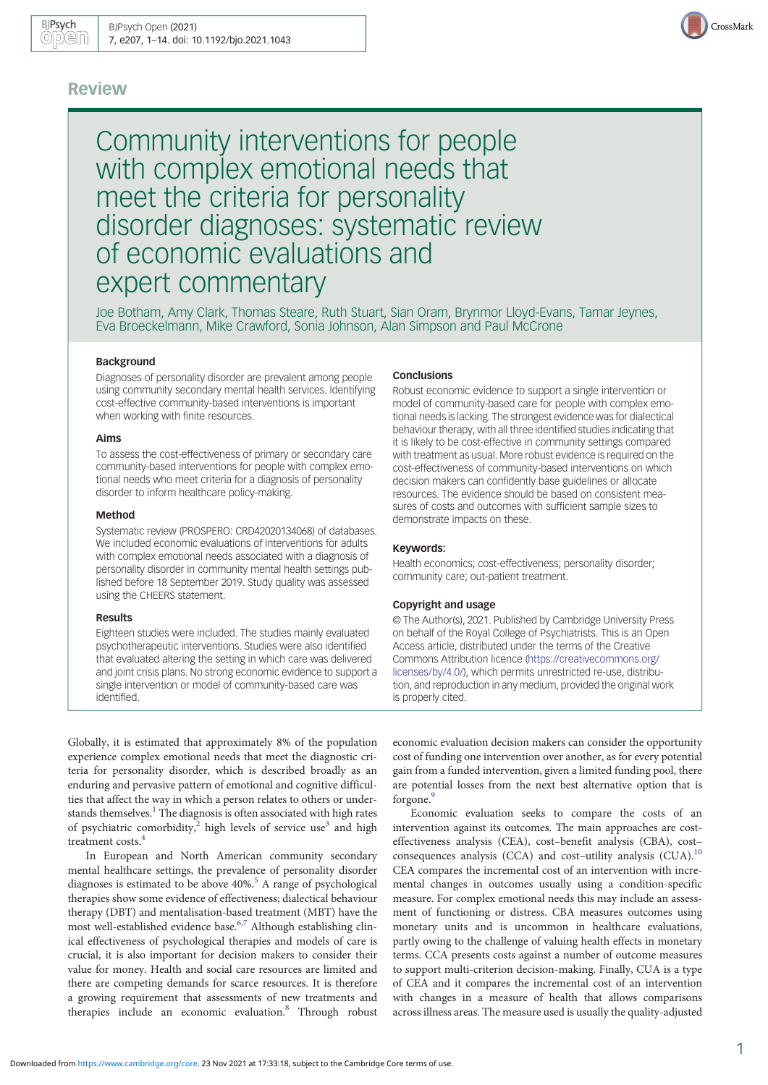## Review



Community interventions for people with complex emotional needs that meet the criteria for personality disorder diagnoses: systematic review of economic evaluations and expert commentary

Joe Botham, Amy Clark, Thomas Steare, Ruth Stuart, Sian Oram, Brynmor Lloyd-Evans, Tamar Jeynes, Eva Broeckelmann, Mike Crawford, Sonia Johnson, Alan Simpson and Paul McCrone

### Background

Diagnoses of personality disorder are prevalent among people using community secondary mental health services. Identifying cost-effective community-based interventions is important when working with finite resources.

#### Aims

To assess the cost-effectiveness of primary or secondary care community-based interventions for people with complex emotional needs who meet criteria for a diagnosis of personality disorder to inform healthcare policy-making.

#### Method

Systematic review (PROSPERO: CRD42020134068) of databases. We included economic evaluations of interventions for adults with complex emotional needs associated with a diagnosis of personality disorder in community mental health settings published before 18 September 2019. Study quality was assessed using the CHEERS statement.

#### Results

Eighteen studies were included. The studies mainly evaluated psychotherapeutic interventions. Studies were also identified that evaluated altering the setting in which care was delivered and joint crisis plans. No strong economic evidence to support a single intervention or model of community-based care was identified.

#### **Conclusions**

Robust economic evidence to support a single intervention or model of community-based care for people with complex emotional needs is lacking. The strongest evidence was for dialectical behaviour therapy, with all three identified studies indicating that it is likely to be cost-effective in community settings compared with treatment as usual. More robust evidence is required on the cost-effectiveness of community-based interventions on which decision makers can confidently base guidelines or allocate resources. The evidence should be based on consistent measures of costs and outcomes with sufficient sample sizes to demonstrate impacts on these.

#### Keywords:

Health economics; cost-effectiveness; personality disorder; community care; out-patient treatment.

#### Copyright and usage

© The Author(s), 2021. Published by Cambridge University Press on behalf of the Royal College of Psychiatrists. This is an Open Access article, distributed under the terms of the Creative Commons Attribution licence [\(https://creativecommons.org/](https://creativecommons.org/licenses/by/4.0/) [licenses/by/4.0/](https://creativecommons.org/licenses/by/4.0/)), which permits unrestricted re-use, distribution, and reproduction in any medium, provided the original work is properly cited.

Globally, it is estimated that approximately 8% of the population experience complex emotional needs that meet the diagnostic criteria for personality disorder, which is described broadly as an enduring and pervasive pattern of emotional and cognitive difficulties that affect the way in which a person relates to others or under-stands themselves.<sup>[1](#page-12-0)</sup> The diagnosis is often associated with high rates of psychiatric comorbidity,<sup>2</sup> high levels of service use<sup>[3](#page-12-0)</sup> and high treatment costs.<sup>[4](#page-12-0)</sup>

In European and North American community secondary mental healthcare settings, the prevalence of personality disorder diagnoses is estimated to be above  $40\%$ <sup>5</sup> A range of psychological therapies show some evidence of effectiveness; dialectical behaviour therapy (DBT) and mentalisation-based treatment (MBT) have the most well-established evidence base.<sup>[6,7](#page-12-0)</sup> Although establishing clinical effectiveness of psychological therapies and models of care is crucial, it is also important for decision makers to consider their value for money. Health and social care resources are limited and there are competing demands for scarce resources. It is therefore a growing requirement that assessments of new treatments and therapies include an economic evaluation.[8](#page-12-0) Through robust

economic evaluation decision makers can consider the opportunity cost of funding one intervention over another, as for every potential gain from a funded intervention, given a limited funding pool, there are potential losses from the next best alternative option that is forgone.<sup>[9](#page-12-0)</sup>

Economic evaluation seeks to compare the costs of an intervention against its outcomes. The main approaches are costeffectiveness analysis (CEA), cost–benefit analysis (CBA), cost– consequences analysis (CCA) and cost-utility analysis (CUA).<sup>[10](#page-12-0)</sup> CEA compares the incremental cost of an intervention with incremental changes in outcomes usually using a condition-specific measure. For complex emotional needs this may include an assessment of functioning or distress. CBA measures outcomes using monetary units and is uncommon in healthcare evaluations, partly owing to the challenge of valuing health effects in monetary terms. CCA presents costs against a number of outcome measures to support multi-criterion decision-making. Finally, CUA is a type of CEA and it compares the incremental cost of an intervention with changes in a measure of health that allows comparisons across illness areas. The measure used is usually the quality-adjusted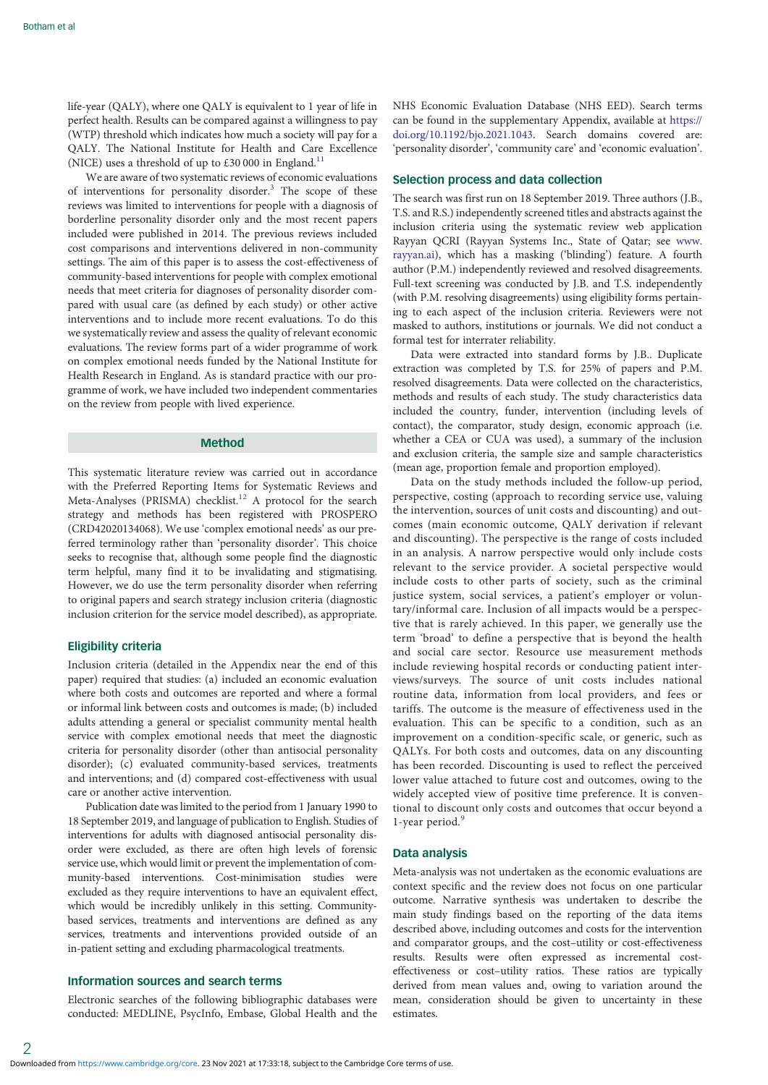life-year (QALY), where one QALY is equivalent to 1 year of life in perfect health. Results can be compared against a willingness to pay (WTP) threshold which indicates how much a society will pay for a QALY. The National Institute for Health and Care Excellence (NICE) uses a threshold of up to £30 000 in England.<sup>[11](#page-12-0)</sup>

We are aware of two systematic reviews of economic evaluations of interventions for personality disorder.[3](#page-12-0) The scope of these reviews was limited to interventions for people with a diagnosis of borderline personality disorder only and the most recent papers included were published in 2014. The previous reviews included cost comparisons and interventions delivered in non-community settings. The aim of this paper is to assess the cost-effectiveness of community-based interventions for people with complex emotional needs that meet criteria for diagnoses of personality disorder compared with usual care (as defined by each study) or other active interventions and to include more recent evaluations. To do this we systematically review and assess the quality of relevant economic evaluations. The review forms part of a wider programme of work on complex emotional needs funded by the National Institute for Health Research in England. As is standard practice with our programme of work, we have included two independent commentaries on the review from people with lived experience.

## Method

This systematic literature review was carried out in accordance with the Preferred Reporting Items for Systematic Reviews and Meta-Analyses (PRISMA) checklist.<sup>[12](#page-12-0)</sup> A protocol for the search strategy and methods has been registered with PROSPERO (CRD42020134068). We use 'complex emotional needs' as our preferred terminology rather than 'personality disorder'. This choice seeks to recognise that, although some people find the diagnostic term helpful, many find it to be invalidating and stigmatising. However, we do use the term personality disorder when referring to original papers and search strategy inclusion criteria (diagnostic inclusion criterion for the service model described), as appropriate.

## Eligibility criteria

Inclusion criteria (detailed in the Appendix near the end of this paper) required that studies: (a) included an economic evaluation where both costs and outcomes are reported and where a formal or informal link between costs and outcomes is made; (b) included adults attending a general or specialist community mental health service with complex emotional needs that meet the diagnostic criteria for personality disorder (other than antisocial personality disorder); (c) evaluated community-based services, treatments and interventions; and (d) compared cost-effectiveness with usual care or another active intervention.

Publication date was limited to the period from 1 January 1990 to 18 September 2019, and language of publication to English. Studies of interventions for adults with diagnosed antisocial personality disorder were excluded, as there are often high levels of forensic service use, which would limit or prevent the implementation of community-based interventions. Cost-minimisation studies were excluded as they require interventions to have an equivalent effect, which would be incredibly unlikely in this setting. Communitybased services, treatments and interventions are defined as any services, treatments and interventions provided outside of an in-patient setting and excluding pharmacological treatments.

## Information sources and search terms

Electronic searches of the following bibliographic databases were conducted: MEDLINE, PsycInfo, Embase, Global Health and the

NHS Economic Evaluation Database (NHS EED). Search terms can be found in the supplementary Appendix, available at [https://](https://doi.org/10.1192/bjo.2021.1043) [doi.org/10.1192/bjo.2021.1043](https://doi.org/10.1192/bjo.2021.1043). Search domains covered are: 'personality disorder', 'community care' and 'economic evaluation'.

#### Selection process and data collection

The search was first run on 18 September 2019. Three authors (J.B., T.S. and R.S.) independently screened titles and abstracts against the inclusion criteria using the systematic review web application Rayyan QCRI (Rayyan Systems Inc., State of Qatar; see [www.](https://www.rayyan.ai) [rayyan.ai\)](https://www.rayyan.ai), which has a masking ('blinding') feature. A fourth author (P.M.) independently reviewed and resolved disagreements. Full-text screening was conducted by J.B. and T.S. independently (with P.M. resolving disagreements) using eligibility forms pertaining to each aspect of the inclusion criteria. Reviewers were not masked to authors, institutions or journals. We did not conduct a formal test for interrater reliability.

Data were extracted into standard forms by J.B.. Duplicate extraction was completed by T.S. for 25% of papers and P.M. resolved disagreements. Data were collected on the characteristics, methods and results of each study. The study characteristics data included the country, funder, intervention (including levels of contact), the comparator, study design, economic approach (i.e. whether a CEA or CUA was used), a summary of the inclusion and exclusion criteria, the sample size and sample characteristics (mean age, proportion female and proportion employed).

Data on the study methods included the follow-up period, perspective, costing (approach to recording service use, valuing the intervention, sources of unit costs and discounting) and outcomes (main economic outcome, QALY derivation if relevant and discounting). The perspective is the range of costs included in an analysis. A narrow perspective would only include costs relevant to the service provider. A societal perspective would include costs to other parts of society, such as the criminal justice system, social services, a patient's employer or voluntary/informal care. Inclusion of all impacts would be a perspective that is rarely achieved. In this paper, we generally use the term 'broad' to define a perspective that is beyond the health and social care sector. Resource use measurement methods include reviewing hospital records or conducting patient interviews/surveys. The source of unit costs includes national routine data, information from local providers, and fees or tariffs. The outcome is the measure of effectiveness used in the evaluation. This can be specific to a condition, such as an improvement on a condition-specific scale, or generic, such as QALYs. For both costs and outcomes, data on any discounting has been recorded. Discounting is used to reflect the perceived lower value attached to future cost and outcomes, owing to the widely accepted view of positive time preference. It is conventional to discount only costs and outcomes that occur beyond a 1-year period.<sup>[9](#page-12-0)</sup>

## Data analysis

Meta-analysis was not undertaken as the economic evaluations are context specific and the review does not focus on one particular outcome. Narrative synthesis was undertaken to describe the main study findings based on the reporting of the data items described above, including outcomes and costs for the intervention and comparator groups, and the cost–utility or cost-effectiveness results. Results were often expressed as incremental costeffectiveness or cost–utility ratios. These ratios are typically derived from mean values and, owing to variation around the mean, consideration should be given to uncertainty in these estimates.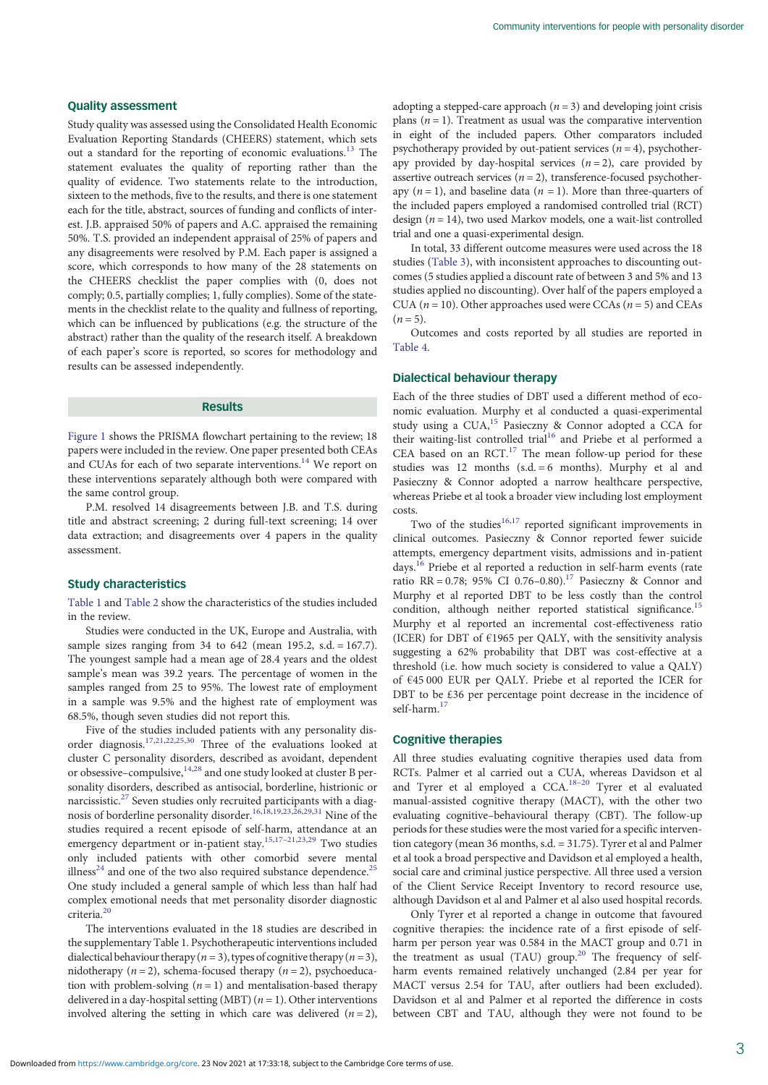## Quality assessment

Study quality was assessed using the Consolidated Health Economic Evaluation Reporting Standards (CHEERS) statement, which sets out a standard for the reporting of economic evaluations.<sup>[13](#page-12-0)</sup> The statement evaluates the quality of reporting rather than the quality of evidence. Two statements relate to the introduction, sixteen to the methods, five to the results, and there is one statement each for the title, abstract, sources of funding and conflicts of interest. J.B. appraised 50% of papers and A.C. appraised the remaining 50%. T.S. provided an independent appraisal of 25% of papers and any disagreements were resolved by P.M. Each paper is assigned a score, which corresponds to how many of the 28 statements on the CHEERS checklist the paper complies with (0, does not comply; 0.5, partially complies; 1, fully complies). Some of the statements in the checklist relate to the quality and fullness of reporting, which can be influenced by publications (e.g. the structure of the abstract) rather than the quality of the research itself. A breakdown of each paper's score is reported, so scores for methodology and results can be assessed independently.

## Results

[Figure 1](#page-3-0) shows the PRISMA flowchart pertaining to the review; 18 papers were included in the review. One paper presented both CEAs and CUAs for each of two separate interventions.<sup>14</sup> We report on these interventions separately although both were compared with the same control group.

P.M. resolved 14 disagreements between J.B. and T.S. during title and abstract screening; 2 during full-text screening; 14 over data extraction; and disagreements over 4 papers in the quality assessment.

## Study characteristics

[Table 1](#page-4-0) and [Table 2](#page-5-0) show the characteristics of the studies included in the review.

Studies were conducted in the UK, Europe and Australia, with sample sizes ranging from 34 to 642 (mean 195.2, s.d. = 167.7). The youngest sample had a mean age of 28.4 years and the oldest sample's mean was 39.2 years. The percentage of women in the samples ranged from 25 to 95%. The lowest rate of employment in a sample was 9.5% and the highest rate of employment was 68.5%, though seven studies did not report this.

Five of the studies included patients with any personality disorder diagnosis.[17,21,22,25,30](#page-12-0) Three of the evaluations looked at cluster C personality disorders, described as avoidant, dependent or obsessive–compulsive,[14,28](#page-12-0) and one study looked at cluster B personality disorders, described as antisocial, borderline, histrionic or narcissistic.<sup>[27](#page-12-0)</sup> Seven studies only recruited participants with a diagnosis of borderline personality disorder.[16,18,19,23,26,29,31](#page-12-0) Nine of the studies required a recent episode of self-harm, attendance at an emergency department or in-patient stay.<sup>[15](#page-12-0),[17](#page-12-0)-[21](#page-12-0),[23](#page-12-0),[29](#page-12-0)</sup> Two studies only included patients with other comorbid severe mental illness<sup>24</sup> and one of the two also required substance dependence.<sup>[25](#page-12-0)</sup> One study included a general sample of which less than half had complex emotional needs that met personality disorder diagnostic criteria.<sup>[20](#page-12-0)</sup>

The interventions evaluated in the 18 studies are described in the supplementary Table 1. Psychotherapeutic interventions included dialectical behaviour therapy ( $n = 3$ ), types of cognitive therapy ( $n = 3$ ), nidotherapy ( $n = 2$ ), schema-focused therapy ( $n = 2$ ), psychoeducation with problem-solving  $(n = 1)$  and mentalisation-based therapy delivered in a day-hospital setting (MBT) ( $n = 1$ ). Other interventions involved altering the setting in which care was delivered  $(n = 2)$ , adopting a stepped-care approach  $(n = 3)$  and developing joint crisis plans ( $n = 1$ ). Treatment as usual was the comparative intervention in eight of the included papers. Other comparators included psychotherapy provided by out-patient services ( $n = 4$ ), psychotherapy provided by day-hospital services  $(n = 2)$ , care provided by assertive outreach services ( $n = 2$ ), transference-focused psychotherapy  $(n = 1)$ , and baseline data  $(n = 1)$ . More than three-quarters of the included papers employed a randomised controlled trial (RCT) design ( $n = 14$ ), two used Markov models, one a wait-list controlled trial and one a quasi-experimental design.

In total, 33 different outcome measures were used across the 18 studies ([Table 3](#page-6-0)), with inconsistent approaches to discounting outcomes (5 studies applied a discount rate of between 3 and 5% and 13 studies applied no discounting). Over half of the papers employed a CUA ( $n = 10$ ). Other approaches used were CCAs ( $n = 5$ ) and CEAs  $(n = 5)$ .

Outcomes and costs reported by all studies are reported in [Table 4](#page-7-0).

## Dialectical behaviour therapy

Each of the three studies of DBT used a different method of economic evaluation. Murphy et al conducted a quasi-experimental study using a CUA,[15](#page-12-0) Pasieczny & Connor adopted a CCA for their waiting-list controlled trial<sup>[16](#page-12-0)</sup> and Priebe et al performed a CEA based on an  $RCT$ .<sup>[17](#page-12-0)</sup> The mean follow-up period for these studies was 12 months (s.d.  $= 6$  months). Murphy et al and Pasieczny & Connor adopted a narrow healthcare perspective, whereas Priebe et al took a broader view including lost employment costs.

Two of the studies $16,17$  $16,17$  $16,17$  reported significant improvements in clinical outcomes. Pasieczny & Connor reported fewer suicide attempts, emergency department visits, admissions and in-patient days[.16](#page-12-0) Priebe et al reported a reduction in self-harm events (rate ratio RR = 0.78; 95% CI 0.76-0.80).<sup>17</sup> Pasieczny & Connor and Murphy et al reported DBT to be less costly than the control condition, although neither reported statistical significance.<sup>[15](#page-12-0)</sup> Murphy et al reported an incremental cost-effectiveness ratio (ICER) for DBT of €1965 per QALY, with the sensitivity analysis suggesting a 62% probability that DBT was cost-effective at a threshold (i.e. how much society is considered to value a QALY) of €45 000 EUR per QALY. Priebe et al reported the ICER for DBT to be £36 per percentage point decrease in the incidence of self-harm.<sup>1</sup>

## Cognitive therapies

All three studies evaluating cognitive therapies used data from RCTs. Palmer et al carried out a CUA, whereas Davidson et al and Tyrer et al employed a CCA.[18](#page-12-0)–[20](#page-12-0) Tyrer et al evaluated manual-assisted cognitive therapy (MACT), with the other two evaluating cognitive–behavioural therapy (CBT). The follow-up periods for these studies were the most varied for a specific intervention category (mean 36 months, s.d. = 31.75). Tyrer et al and Palmer et al took a broad perspective and Davidson et al employed a health, social care and criminal justice perspective. All three used a version of the Client Service Receipt Inventory to record resource use, although Davidson et al and Palmer et al also used hospital records.

Only Tyrer et al reported a change in outcome that favoured cognitive therapies: the incidence rate of a first episode of selfharm per person year was 0.584 in the MACT group and 0.71 in the treatment as usual (TAU) group.<sup>[20](#page-12-0)</sup> The frequency of selfharm events remained relatively unchanged (2.84 per year for MACT versus 2.54 for TAU, after outliers had been excluded). Davidson et al and Palmer et al reported the difference in costs between CBT and TAU, although they were not found to be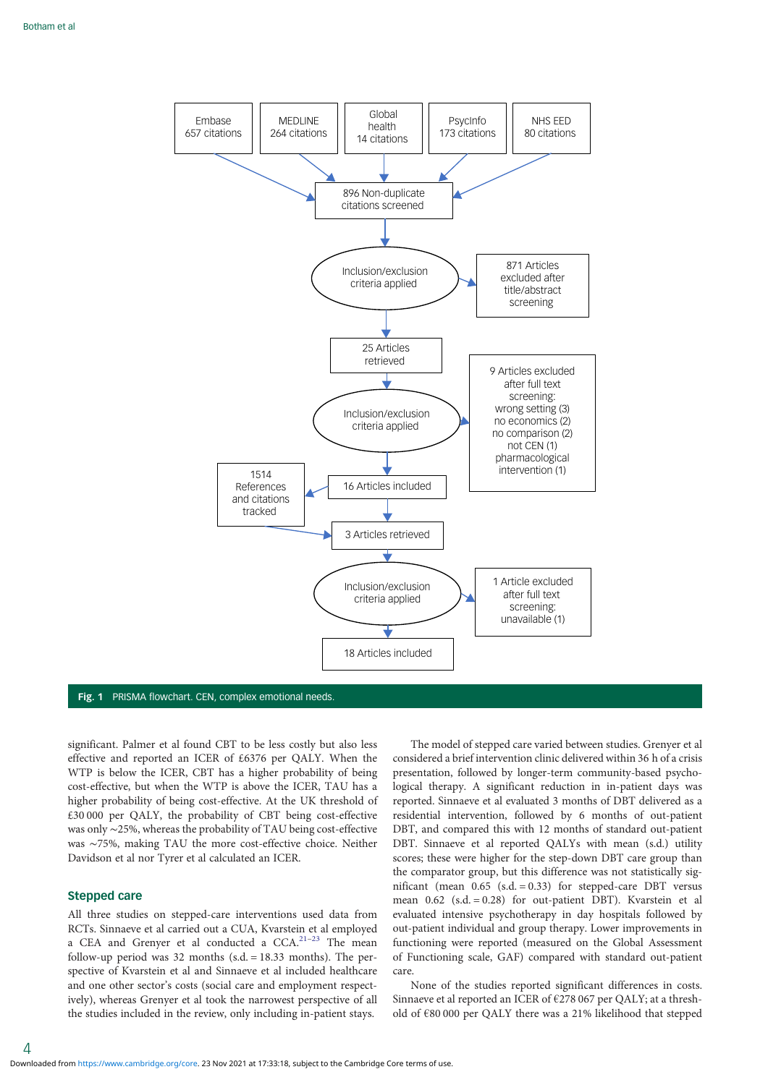<span id="page-3-0"></span>

## Fig. 1 PRISMA flowchart. CEN, complex emotional needs.

significant. Palmer et al found CBT to be less costly but also less effective and reported an ICER of £6376 per QALY. When the WTP is below the ICER, CBT has a higher probability of being cost-effective, but when the WTP is above the ICER, TAU has a higher probability of being cost-effective. At the UK threshold of £30 000 per QALY, the probability of CBT being cost-effective was only ∼25%, whereas the probability of TAU being cost-effective was ∼75%, making TAU the more cost-effective choice. Neither Davidson et al nor Tyrer et al calculated an ICER.

### Stepped care

All three studies on stepped-care interventions used data from RCTs. Sinnaeve et al carried out a CUA, Kvarstein et al employed a CEA and Grenyer et al conducted a CCA.<sup>[21](#page-12-0)-[23](#page-12-0)</sup> The mean follow-up period was 32 months (s.d.  $= 18.33$  months). The perspective of Kvarstein et al and Sinnaeve et al included healthcare and one other sector's costs (social care and employment respectively), whereas Grenyer et al took the narrowest perspective of all the studies included in the review, only including in-patient stays.

The model of stepped care varied between studies. Grenyer et al considered a brief intervention clinic delivered within 36 h of a crisis presentation, followed by longer-term community-based psychological therapy. A significant reduction in in-patient days was reported. Sinnaeve et al evaluated 3 months of DBT delivered as a residential intervention, followed by 6 months of out-patient DBT, and compared this with 12 months of standard out-patient DBT. Sinnaeve et al reported QALYs with mean (s.d.) utility scores; these were higher for the step-down DBT care group than the comparator group, but this difference was not statistically significant (mean  $0.65$  (s.d. = 0.33) for stepped-care DBT versus mean 0.62 (s.d. = 0.28) for out-patient DBT). Kvarstein et al evaluated intensive psychotherapy in day hospitals followed by out-patient individual and group therapy. Lower improvements in functioning were reported (measured on the Global Assessment of Functioning scale, GAF) compared with standard out-patient care.

None of the studies reported significant differences in costs. Sinnaeve et al reported an ICER of €278 067 per QALY; at a threshold of €80 000 per QALY there was a 21% likelihood that stepped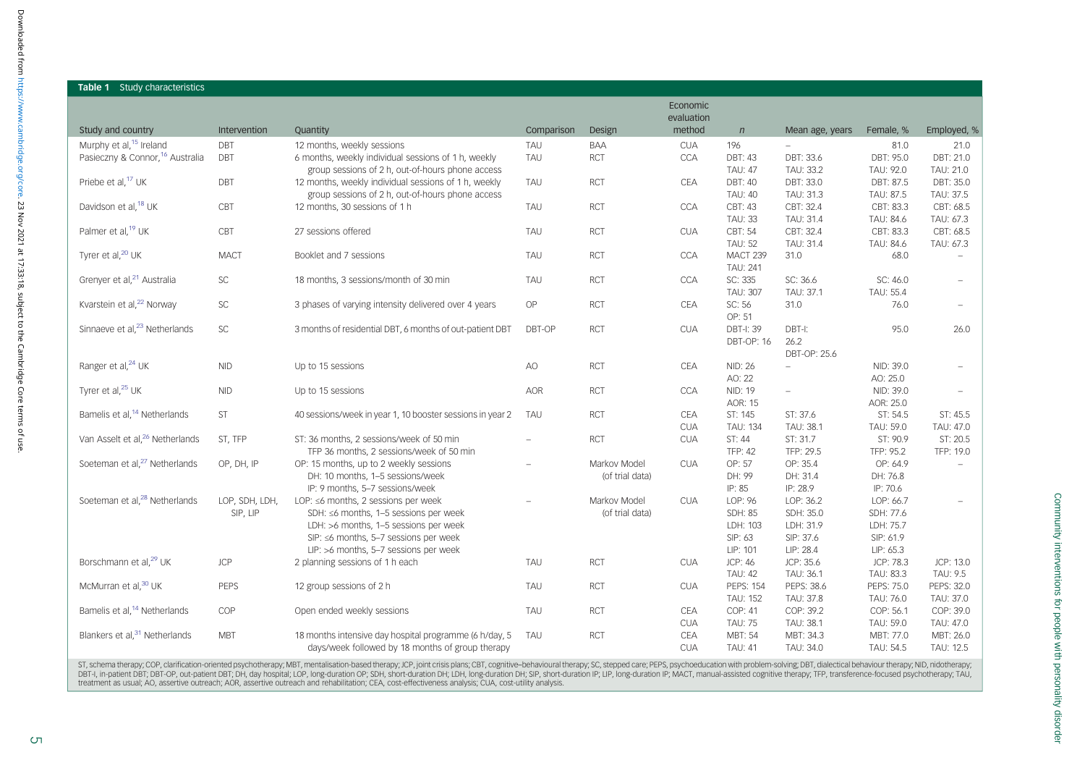<span id="page-4-0"></span>

| <b>Table 1</b> Study characteristics        |                            |                                                                                   |            |                 |                          |                                  |                          |                        |                          |
|---------------------------------------------|----------------------------|-----------------------------------------------------------------------------------|------------|-----------------|--------------------------|----------------------------------|--------------------------|------------------------|--------------------------|
|                                             |                            |                                                                                   |            |                 | Economic<br>evaluation   |                                  |                          |                        |                          |
| Study and country                           | Intervention               | Quantity                                                                          | Comparison | Design          | method                   | $\sqrt{n}$                       | Mean age, years          | Female, %              | Employed, %              |
| Murphy et al, <sup>15</sup> Ireland         | DBT                        | 12 months, weekly sessions                                                        | TAU        | <b>BAA</b>      | <b>CUA</b>               | 196                              | $\overline{\phantom{a}}$ | 81.0                   | 21.0                     |
| Pasieczny & Connor, <sup>16</sup> Australia | <b>DBT</b>                 | 6 months, weekly individual sessions of 1 h, weekly                               | TAU        | <b>RCT</b>      | <b>CCA</b>               | <b>DBT: 43</b>                   | DBT: 33.6                | DBT: 95.0              | DBT: 21.0                |
|                                             |                            | group sessions of 2 h, out-of-hours phone access                                  |            |                 |                          | <b>TAU: 47</b>                   | TAU: 33.2                | TAU: 92.0              | TAU: 21.0                |
| Priebe et al, <sup>17</sup> UK              | DBT                        | 12 months, weekly individual sessions of 1 h, weekly                              | TAU        | <b>RCT</b>      | CEA                      | DBT: 40                          | DBT: 33.0                | DBT: 87.5              | DBT: 35.0                |
| Davidson et al, <sup>18</sup> UK            | CBT                        | group sessions of 2 h, out-of-hours phone access<br>12 months, 30 sessions of 1 h | TAU        | <b>RCT</b>      | <b>CCA</b>               | <b>TAU: 40</b><br>CBT: 43        | TAU: 31.3<br>CBT: 32.4   | TAU: 87.5<br>CBT: 83.3 | TAU: 37.5<br>CBT: 68.5   |
|                                             |                            |                                                                                   |            |                 |                          | <b>TAU: 33</b>                   | TAU: 31.4                | TAU: 84.6              | TAU: 67.3                |
| Palmer et al, <sup>19</sup> UK              | CBT                        | 27 sessions offered                                                               | TAU        | <b>RCT</b>      | <b>CUA</b>               | CBT: 54                          | CBT: 32.4                | CBT: 83.3              | CBT: 68.5                |
|                                             |                            |                                                                                   |            |                 |                          | <b>TAU: 52</b>                   | TAU: 31.4                | TAU: 84.6              | TAU: 67.3                |
| Tyrer et al, <sup>20</sup> UK               | <b>MACT</b>                | Booklet and 7 sessions                                                            | TAU        | <b>RCT</b>      | CCA                      | MACT 239                         | 31.0                     | 68.0                   | $\overline{a}$           |
|                                             |                            |                                                                                   |            |                 |                          | <b>TAU: 241</b>                  |                          |                        |                          |
| Grenyer et al, <sup>21</sup> Australia      | $\ensuremath{\mathsf{SC}}$ | 18 months, 3 sessions/month of 30 min                                             | TAU        | <b>RCT</b>      | CCA                      | SC: 335                          | SC: 36.6                 | SC: 46.0               |                          |
|                                             |                            |                                                                                   |            |                 |                          | <b>TAU: 307</b>                  | TAU: 37.1                | TAU: 55.4              |                          |
| Kvarstein et al, <sup>22</sup> Norway       | $\ensuremath{\mathsf{SC}}$ | 3 phases of varying intensity delivered over 4 years                              | OP         | <b>RCT</b>      | <b>CEA</b>               | SC: 56                           | 31.0                     | 76.0                   | $\overline{\phantom{0}}$ |
|                                             |                            |                                                                                   |            |                 |                          | OP: 51                           |                          |                        |                          |
| Sinnaeve et al, <sup>23</sup> Netherlands   | $\ensuremath{\mathsf{SC}}$ | 3 months of residential DBT, 6 months of out-patient DBT                          | DBT-OP     | <b>RCT</b>      | <b>CUA</b>               | DBT-I: 39                        | DBT-I:                   | 95.0                   | 26.0                     |
|                                             |                            |                                                                                   |            |                 |                          | <b>DBT-OP: 16</b>                | 26.2<br>DBT-OP: 25.6     |                        |                          |
| Ranger et al, <sup>24</sup> UK              | <b>NID</b>                 | Up to 15 sessions                                                                 | AO         | <b>RCT</b>      | <b>CEA</b>               | NID: 26                          | $\overline{\phantom{a}}$ | NID: 39.0              |                          |
|                                             |                            |                                                                                   |            |                 |                          | AO: 22                           |                          | AO: 25.0               |                          |
| Tyrer et al, <sup>25</sup> UK               | <b>NID</b>                 | Up to 15 sessions                                                                 | <b>AOR</b> | <b>RCT</b>      | <b>CCA</b>               | NID: 19                          | $\overline{\phantom{a}}$ | NID: 39.0              |                          |
|                                             |                            |                                                                                   |            |                 |                          | AOR: 15                          |                          | AOR: 25.0              |                          |
| Bamelis et al, <sup>14</sup> Netherlands    | <b>ST</b>                  | 40 sessions/week in year 1, 10 booster sessions in year 2                         | TAU        | <b>RCT</b>      | CEA                      | ST: 145                          | ST: 37.6                 | ST: 54.5               | ST: 45.5                 |
|                                             |                            |                                                                                   |            |                 | <b>CUA</b>               | <b>TAU: 134</b>                  | TAU: 38.1                | TAU: 59.0              | TAU: 47.0                |
| Van Asselt et al, <sup>26</sup> Netherlands | ST, TFP                    | ST: 36 months, 2 sessions/week of 50 min                                          |            | <b>RCT</b>      | <b>CUA</b>               | ST: 44                           | ST: 31.7                 | ST: 90.9               | ST: 20.5                 |
|                                             |                            | TFP 36 months, 2 sessions/week of 50 min                                          |            |                 |                          | <b>TFP: 42</b>                   | TFP: 29.5                | TFP: 95.2              | TFP: 19.0                |
| Soeteman et al, <sup>27</sup> Netherlands   | OP, DH, IP                 | OP: 15 months, up to 2 weekly sessions                                            |            | Markov Model    | <b>CUA</b>               | OP: 57                           | OP: 35.4                 | OP: 64.9               |                          |
|                                             |                            | DH: 10 months, 1-5 sessions/week<br>IP: 9 months, 5-7 sessions/week               |            | (of trial data) |                          | DH: 99<br>IP: 85                 | DH: 31.4<br>IP: 28.9     | DH: 76.8<br>IP: 70.6   |                          |
| Soeteman et al, <sup>28</sup> Netherlands   | LOP, SDH, LDH,             | LOP: ≤6 months, 2 sessions per week                                               |            | Markov Model    | <b>CUA</b>               | LOP: 96                          | LOP: 36.2                | LOP: 66.7              |                          |
|                                             | SIP, LIP                   | SDH: ≤6 months, 1-5 sessions per week                                             |            | (of trial data) |                          | <b>SDH: 85</b>                   | SDH: 35.0                | SDH: 77.6              |                          |
|                                             |                            | LDH: >6 months, 1-5 sessions per week                                             |            |                 |                          | LDH: 103                         | LDH: 31.9                | LDH: 75.7              |                          |
|                                             |                            | SIP: $\leq$ 6 months, 5-7 sessions per week                                       |            |                 |                          | SIP: 63                          | SIP: 37.6                | SIP: 61.9              |                          |
|                                             |                            | LIP: >6 months, 5-7 sessions per week                                             |            |                 |                          | LIP: 101                         | LIP: 28.4                | LIP: 65.3              |                          |
| Borschmann et al, <sup>29</sup> UK          | <b>JCP</b>                 | 2 planning sessions of 1 h each                                                   | TAU        | <b>RCT</b>      | <b>CUA</b>               | JCP: 46                          | JCP: 35.6                | JCP: 78.3              | JCP: 13.0                |
|                                             |                            |                                                                                   |            |                 |                          | <b>TAU: 42</b>                   | TAU: 36.1                | TAU: 83.3              | TAU: 9.5                 |
| McMurran et al, <sup>30</sup> UK            | <b>PEPS</b>                | 12 group sessions of 2 h                                                          | TAU        | <b>RCT</b>      | <b>CUA</b>               | <b>PEPS: 154</b>                 | PEPS: 38.6               | PEPS: 75.0             | PEPS: 32.0               |
|                                             |                            |                                                                                   |            |                 |                          | <b>TAU: 152</b>                  | TAU: 37.8                | TAU: 76.0              | TAU: 37.0                |
| Bamelis et al, <sup>14</sup> Netherlands    | COP                        | Open ended weekly sessions                                                        | TAU        | <b>RCT</b>      | CEA                      | COP: 41                          | COP: 39.2                | COP: 56.1              | COP: 39.0                |
| Blankers et al, <sup>31</sup> Netherlands   | <b>MBT</b>                 | 18 months intensive day hospital programme (6 h/day, 5                            | TAU        | <b>RCT</b>      | <b>CUA</b><br><b>CEA</b> | <b>TAU: 75</b><br><b>MBT: 54</b> | TAU: 38.1<br>MBT: 34.3   | TAU: 59.0<br>MBT: 77.0 | TAU: 47.0<br>MBT: 26.0   |
|                                             |                            | days/week followed by 18 months of group therapy                                  |            |                 | <b>CUA</b>               | <b>TAU: 41</b>                   | TAU: 34.0                | TAU: 54.5              | TAU: 12.5                |
|                                             |                            |                                                                                   |            |                 |                          |                                  |                          |                        |                          |

ST, schema therapy, COP, clarification-oriented psychotherapy, MBT, mentalisation-based therapy, ICP, joint crisis plans; CBT, cognitive–behavioural therapy, SC, stepped care; PEPS, psychoeducation with problem-solving; DB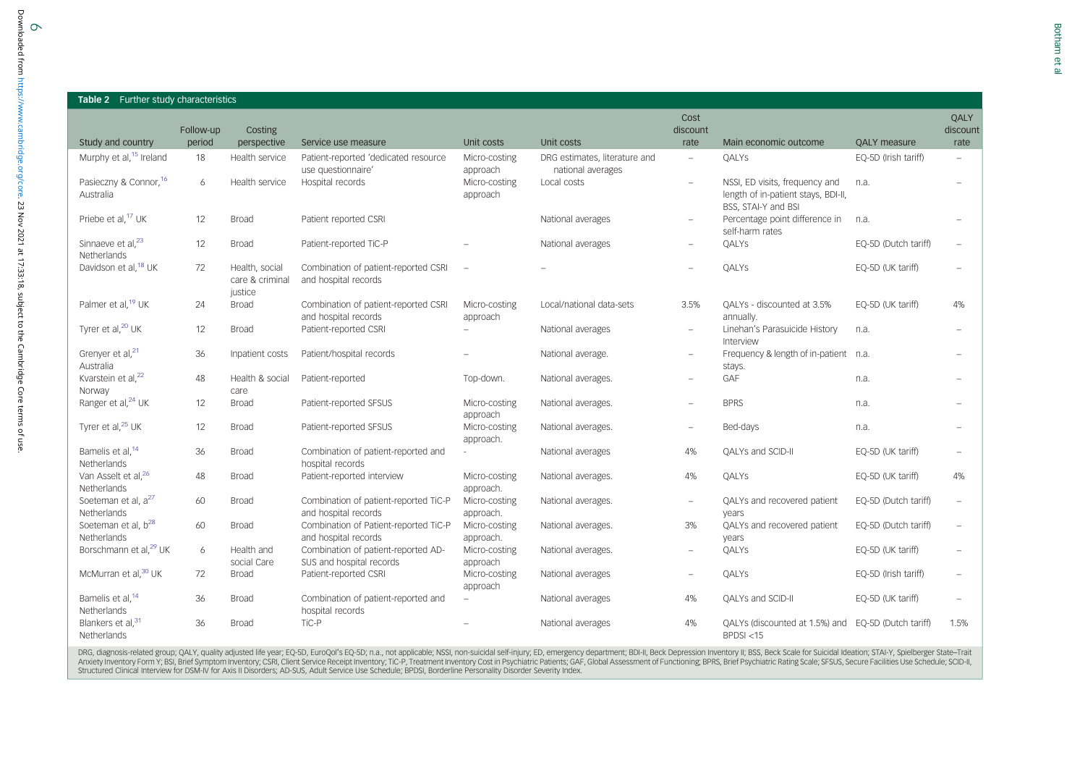| <b>OAI Y m</b> |  |
|----------------|--|
|                |  |
|                |  |
|                |  |
|                |  |
|                |  |
|                |  |
|                |  |

<span id="page-5-0"></span>

| <b>Table 2</b> Further study characteristics   |           |                                              |                                                                 |                            |                                                    |                          |                                                                                              |                      |                  |
|------------------------------------------------|-----------|----------------------------------------------|-----------------------------------------------------------------|----------------------------|----------------------------------------------------|--------------------------|----------------------------------------------------------------------------------------------|----------------------|------------------|
|                                                | Follow-up | Costing                                      |                                                                 |                            |                                                    | Cost<br>discount         |                                                                                              |                      | QALY<br>discount |
| Study and country                              | period    | perspective                                  | Service use measure                                             | Unit costs                 | Unit costs                                         | rate                     | Main economic outcome                                                                        | <b>QALY</b> measure  | rate             |
| Murphy et al, <sup>15</sup> Ireland            | 18        | Health service                               | Patient-reported 'dedicated resource<br>use questionnaire'      | Micro-costing<br>approach  | DRG estimates, literature and<br>national averages | $\overline{\phantom{0}}$ | QALYS                                                                                        | EQ-5D (Irish tariff) | $\overline{a}$   |
| Pasieczny & Connor, 16<br>Australia            | 6         | Health service                               | Hospital records                                                | Micro-costing<br>approach  | Local costs                                        | $\overline{\phantom{0}}$ | NSSI, ED visits, frequency and<br>length of in-patient stays, BDI-II,<br>BSS, STAI-Y and BSI | n.a.                 |                  |
| Priebe et al, <sup>17</sup> UK                 | 12        | <b>Broad</b>                                 | Patient reported CSRI                                           |                            | National averages                                  | $\overline{\phantom{0}}$ | Percentage point difference in<br>self-harm rates                                            | n.a.                 |                  |
| Sinnaeve et al, <sup>23</sup><br>Netherlands   | 12        | <b>Broad</b>                                 | Patient-reported TiC-P                                          |                            | National averages                                  | $\overline{\phantom{0}}$ | QALYS                                                                                        | EQ-5D (Dutch tariff) |                  |
| Davidson et al, <sup>18</sup> UK               | 72        | Health, social<br>care & criminal<br>justice | Combination of patient-reported CSRI<br>and hospital records    |                            |                                                    |                          | QALYS                                                                                        | EQ-5D (UK tariff)    |                  |
| Palmer et al, <sup>19</sup> UK                 | 24        | <b>Broad</b>                                 | Combination of patient-reported CSRI<br>and hospital records    | Micro-costing<br>approach  | Local/national data-sets                           | 3.5%                     | QALYs - discounted at 3.5%<br>annually.                                                      | EQ-5D (UK tariff)    | 4%               |
| Tyrer et al, <sup>20</sup> UK                  | 12        | <b>Broad</b>                                 | Patient-reported CSRI                                           |                            | National averages                                  | $\overline{\phantom{a}}$ | Linehan's Parasuicide History<br>Interview                                                   | n.a.                 |                  |
| Grenyer et al, <sup>21</sup><br>Australia      | 36        | Inpatient costs                              | Patient/hospital records                                        |                            | National average.                                  | $\overline{\phantom{0}}$ | Frequency & length of in-patient n.a.<br>stays.                                              |                      |                  |
| Kvarstein et al, <sup>22</sup><br>Norway       | 48        | Health & social<br>care                      | Patient-reported                                                | Top-down.                  | National averages.                                 | $\overline{\phantom{0}}$ | GAF                                                                                          | n.a.                 |                  |
| Ranger et al, <sup>24</sup> UK                 | 12        | <b>Broad</b>                                 | Patient-reported SFSUS                                          | Micro-costing<br>approach  | National averages.                                 | $\overline{a}$           | <b>BPRS</b>                                                                                  | n.a.                 |                  |
| Tyrer et al, <sup>25</sup> UK                  | 12        | <b>Broad</b>                                 | Patient-reported SFSUS                                          | Micro-costing<br>approach. | National averages.                                 |                          | Bed-days                                                                                     | n.a.                 |                  |
| Bamelis et al, <sup>14</sup><br>Netherlands    | 36        | <b>Broad</b>                                 | Combination of patient-reported and<br>hospital records         |                            | National averages                                  | 4%                       | QALYs and SCID-II                                                                            | EQ-5D (UK tariff)    |                  |
| Van Asselt et al, <sup>26</sup><br>Netherlands | 48        | <b>Broad</b>                                 | Patient-reported interview                                      | Micro-costing<br>approach. | National averages.                                 | 4%                       | QALYS                                                                                        | EQ-5D (UK tariff)    | 4%               |
| Soeteman et al, a <sup>27</sup><br>Netherlands | 60        | <b>Broad</b>                                 | Combination of patient-reported TiC-P<br>and hospital records   | Micro-costing<br>approach. | National averages.                                 | $\overline{a}$           | QALYs and recovered patient<br>years                                                         | EQ-5D (Dutch tariff) |                  |
| Soeteman et al, b <sup>28</sup><br>Netherlands | 60        | <b>Broad</b>                                 | Combination of Patient-reported TiC-P<br>and hospital records   | Micro-costing<br>approach. | National averages.                                 | 3%                       | QALYs and recovered patient<br>years                                                         | EQ-5D (Dutch tariff) |                  |
| Borschmann et al, <sup>29</sup> UK             | 6         | Health and<br>social Care                    | Combination of patient-reported AD-<br>SUS and hospital records | Micro-costing<br>approach  | National averages.                                 | $\overline{\phantom{0}}$ | QALYS                                                                                        | EQ-5D (UK tariff)    |                  |
| McMurran et al, <sup>30</sup> UK               | 72        | <b>Broad</b>                                 | Patient-reported CSRI                                           | Micro-costing<br>approach  | National averages                                  | $\overline{\phantom{0}}$ | QALYS                                                                                        | EQ-5D (Irish tariff) |                  |
| Bamelis et al, <sup>14</sup><br>Netherlands    | 36        | <b>Broad</b>                                 | Combination of patient-reported and<br>hospital records         |                            | National averages                                  | 4%                       | QALYs and SCID-II                                                                            | EQ-5D (UK tariff)    |                  |
| Blankers et al. <sup>31</sup><br>Netherlands   | 36        | <b>Broad</b>                                 | TiC-P                                                           |                            | National averages                                  | 4%                       | QALYs (discounted at 1.5%) and EQ-5D (Dutch tariff)<br>BPDSI < 15                            |                      | 1.5%             |

DRG, diagnosis-related group; QALY, quality adjusted life year; EQ-5D, EuroQol's EQ-5D; n.a., not applicable; NSSI, non-suicidal self-injury; ED, emergency department; BDI-II, Beck Depression Inventory II; BSS, Beck Scale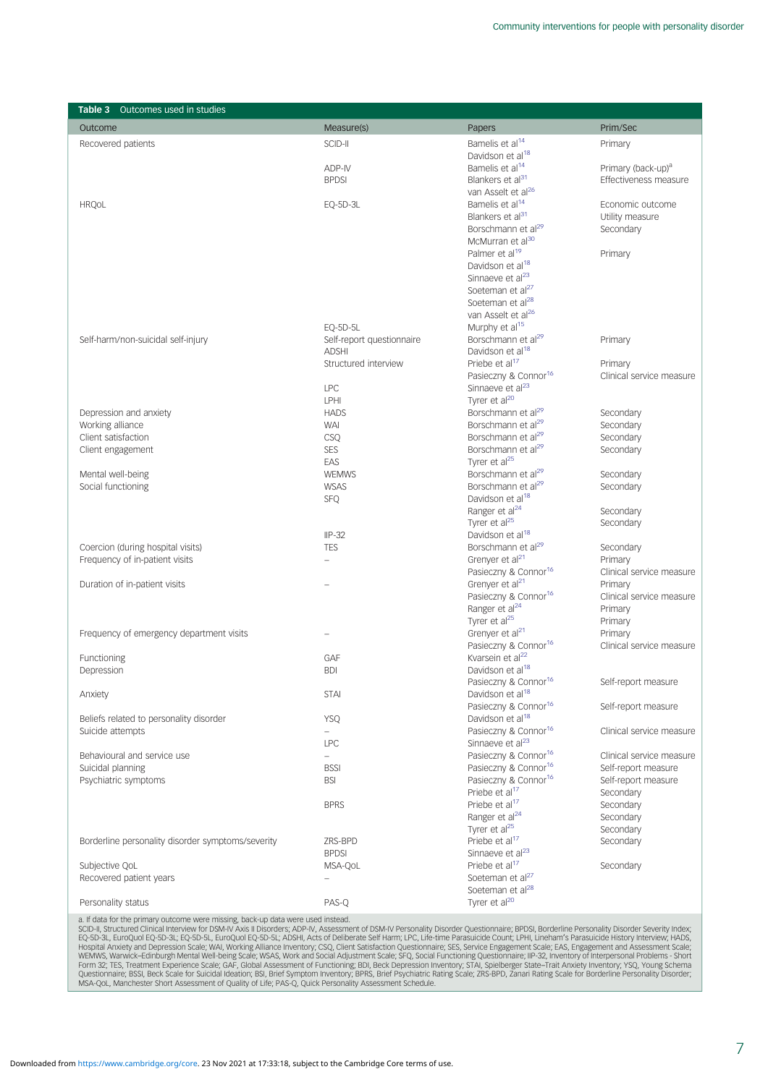<span id="page-6-0"></span>

| <b>Table 3</b> Outcomes used in studies           |                           |                                                                      |                                  |
|---------------------------------------------------|---------------------------|----------------------------------------------------------------------|----------------------------------|
| Outcome                                           | Measure(s)                | Papers                                                               | Prim/Sec                         |
| Recovered patients                                | SCID-II                   | Bamelis et al <sup>14</sup>                                          | Primary                          |
|                                                   |                           | Davidson et al <sup>18</sup>                                         |                                  |
|                                                   | ADP-IV                    | Bamelis et al <sup>14</sup>                                          | Primary (back-up) <sup>a</sup>   |
|                                                   | <b>BPDSI</b>              | Blankers et al <sup>31</sup>                                         | Effectiveness measure            |
|                                                   |                           | van Asselt et al <sup>26</sup>                                       |                                  |
| <b>HRQ0L</b>                                      | EQ-5D-3L                  | Bamelis et al <sup>14</sup>                                          | Economic outcome                 |
|                                                   |                           | Blankers et al <sup>31</sup>                                         | Utility measure                  |
|                                                   |                           | Borschmann et al <sup>29</sup>                                       | Secondary                        |
|                                                   |                           | McMurran et al <sup>30</sup>                                         |                                  |
|                                                   |                           | Palmer et al <sup>19</sup>                                           | Primary                          |
|                                                   |                           | Davidson et al <sup>18</sup><br>Sinnaeve et al <sup>23</sup>         |                                  |
|                                                   |                           | Soeteman et al <sup>27</sup>                                         |                                  |
|                                                   |                           | Soeteman et al <sup>28</sup>                                         |                                  |
|                                                   |                           | van Asselt et al <sup>26</sup>                                       |                                  |
|                                                   | EQ-5D-5L                  | Murphy et al <sup>15</sup>                                           |                                  |
| Self-harm/non-suicidal self-injury                | Self-report questionnaire | Borschmann et al <sup>29</sup>                                       | Primary                          |
|                                                   | <b>ADSHI</b>              | Davidson et al <sup>18</sup>                                         |                                  |
|                                                   | Structured interview      | Priebe et al <sup>17</sup>                                           | Primary                          |
|                                                   |                           | Pasieczny & Connor <sup>16</sup>                                     | Clinical service measure         |
|                                                   | <b>LPC</b>                | Sinnaeve et al <sup>23</sup>                                         |                                  |
|                                                   | <b>LPHI</b>               | Tyrer et al <sup>20</sup>                                            |                                  |
| Depression and anxiety                            | <b>HADS</b>               | Borschmann et al <sup>29</sup>                                       | Secondary                        |
| Working alliance                                  | WAI                       | Borschmann et al <sup>29</sup>                                       | Secondary                        |
| Client satisfaction                               | CSQ                       | Borschmann et al <sup>29</sup>                                       | Secondary                        |
| Client engagement                                 | <b>SES</b><br>EAS         | Borschmann et al <sup>29</sup><br>Tyrer et al <sup>25</sup>          | Secondary                        |
| Mental well-being                                 | <b>WEMWS</b>              | Borschmann et al <sup>29</sup>                                       | Secondary                        |
| Social functioning                                | <b>WSAS</b>               | Borschmann et al <sup>29</sup>                                       | Secondary                        |
|                                                   | <b>SFQ</b>                | Davidson et al <sup>18</sup>                                         |                                  |
|                                                   |                           | Ranger et al <sup>24</sup>                                           | Secondary                        |
|                                                   |                           | Tyrer et al <sup>25</sup>                                            | Secondary                        |
|                                                   | $IP-32$                   | Davidson et al <sup>18</sup>                                         |                                  |
| Coercion (during hospital visits)                 | <b>TES</b>                | Borschmann et al <sup>29</sup>                                       | Secondary                        |
| Frequency of in-patient visits                    | $\overline{\phantom{0}}$  | Grenyer et al <sup>21</sup>                                          | Primary                          |
|                                                   |                           | Pasieczny & Connor <sup>16</sup>                                     | Clinical service measure         |
| Duration of in-patient visits                     | $\overline{a}$            | Grenyer et al <sup>21</sup>                                          | Primary                          |
|                                                   |                           | Pasieczny & Connor <sup>16</sup>                                     | Clinical service measure         |
|                                                   |                           | Ranger et al <sup>24</sup><br>Tyrer et al <sup>25</sup>              | Primary                          |
| Frequency of emergency department visits          |                           | Grenyer et al <sup>21</sup>                                          | Primary<br>Primary               |
|                                                   |                           | Pasieczny & Connor <sup>16</sup>                                     | Clinical service measure         |
| Functioning                                       | GAF                       | Kvarsein et al <sup>22</sup>                                         |                                  |
| Depression                                        | <b>BDI</b>                | Davidson et al <sup>18</sup>                                         |                                  |
|                                                   |                           | Pasieczny & Connor <sup>16</sup>                                     | Self-report measure              |
| Anxiety                                           | <b>STAI</b>               | Davidson et al <sup>18</sup>                                         |                                  |
|                                                   |                           | Pasieczny & Connor <sup>16</sup>                                     | Self-report measure              |
| Beliefs related to personality disorder           | <b>YSQ</b>                | Davidson et al <sup>18</sup>                                         |                                  |
| Suicide attempts                                  | $\qquad \qquad -$         | Pasieczny & Connor <sup>16</sup>                                     | Clinical service measure         |
|                                                   | <b>LPC</b>                | Sinnaeve et al <sup>23</sup>                                         |                                  |
| Behavioural and service use                       | $\overline{\phantom{0}}$  | Pasieczny & Connor <sup>16</sup>                                     | Clinical service measure         |
| Suicidal planning                                 | <b>BSSI</b>               | Pasieczny & Connor <sup>16</sup><br>Pasieczny & Connor <sup>16</sup> | Self-report measure              |
| Psychiatric symptoms                              | <b>BSI</b>                | Priebe et al <sup>17</sup>                                           | Self-report measure<br>Secondary |
|                                                   | <b>BPRS</b>               | Priebe et al <sup>17</sup>                                           | Secondary                        |
|                                                   |                           | Ranger et al <sup>24</sup>                                           | Secondary                        |
|                                                   |                           | Tyrer et al <sup>25</sup>                                            | Secondary                        |
| Borderline personality disorder symptoms/severity | 7RS-BPD                   | Priebe et al <sup>17</sup>                                           | Secondary                        |
|                                                   | <b>BPDSI</b>              | Sinnaeve et al <sup>23</sup>                                         |                                  |
| Subjective QoL                                    | MSA-QOL                   | Priebe et al <sup>17</sup>                                           | Secondary                        |
| Recovered patient years                           | $\qquad \qquad -$         | Soeteman et al <sup>27</sup>                                         |                                  |
|                                                   |                           | Soeteman et al <sup>28</sup>                                         |                                  |
| Personality status                                | PAS-Q                     | Tyrer et al <sup>20</sup>                                            |                                  |

a. If data for the primary outcome were missing, back-up data were used instead.<br>SCD-II, Structured Clinical Interview for DSM-IV Posters, ADS-IV Presonality Disorder Questionnaire; BPDSI, Borderline Personality Disorder S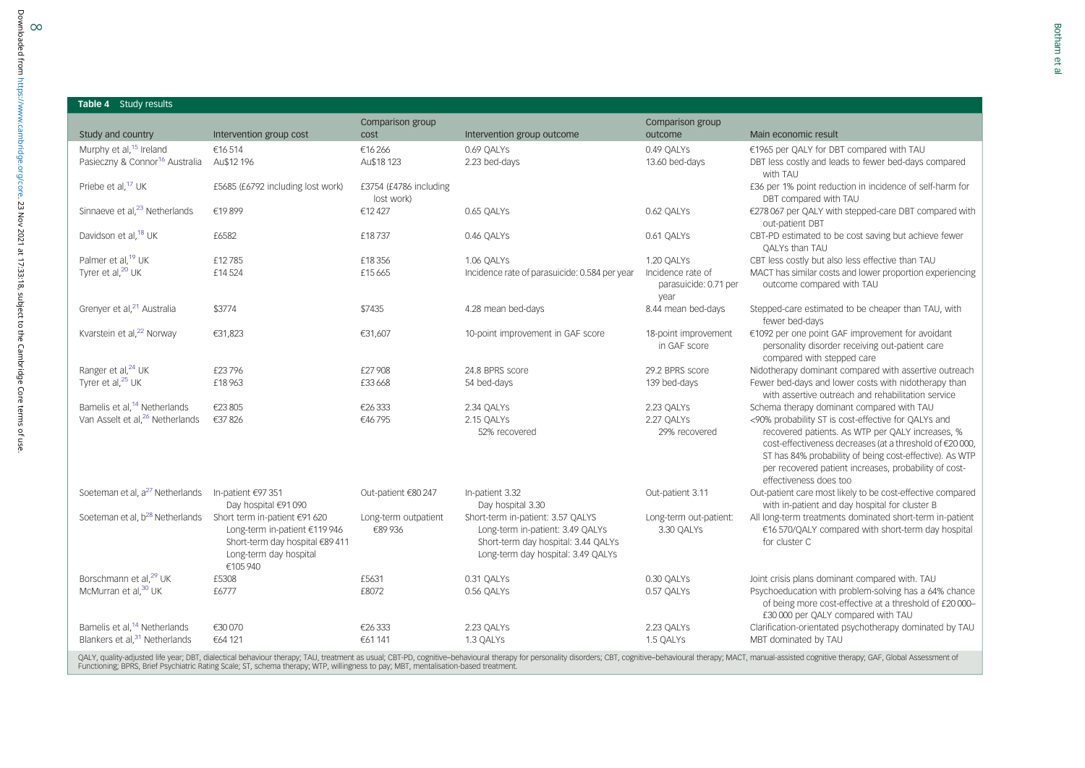# <span id="page-7-0"></span>8<br>Downloaded from https://www.cambridge Downloaded from<https://www.cambridge.org/core>. 23 Nov 2021 at 17:33:18, subject to the Cambridge Core terms of use.Table 4 Study results Study and country **Intervention group cost** Murphy et al,<sup>[15](#page-12-0)</sup> Ireland €16 514 €16 514 €16 266 6.69 QALYs 0.69 QALYs 0.49 QALYs 6.49 QALYs €1965 per QALY for DBT compared with TAU<br>Pasieczny & Connor<sup>16</sup> Australia Au\$12 196 Au\$18 Au\$18 123 2.23 bed-days 6.69 DBT less e.org/core. Priebe et al,[17](#page-12-0) UK £5685 (£6792 including lost work) £3754 (£4786 including 23 Nov 2021 at 17:33:18, subject to the Cambridge Core terms of use Soeteman et al, a $^{27}$  $^{27}$  $^{27}$  Netherlands In-patient €97 351 Day hospital €91 090 Soeteman et al, b<sup>[28](#page-12-0)</sup> Netherlands Short term in-patient €91 620

|                                                                                                                                         | lost work)                     |                                                                                                                                                    |                                                    | DBT compared with TAU                                                                                                                                                                                                                                                                                             |
|-----------------------------------------------------------------------------------------------------------------------------------------|--------------------------------|----------------------------------------------------------------------------------------------------------------------------------------------------|----------------------------------------------------|-------------------------------------------------------------------------------------------------------------------------------------------------------------------------------------------------------------------------------------------------------------------------------------------------------------------|
| €19899                                                                                                                                  | €12427                         | 0.65 QALYS                                                                                                                                         | 0.62 QALYS                                         | €278 067 per QALY with stepped-care DBT compared with<br>out-patient DBT                                                                                                                                                                                                                                          |
| £6582                                                                                                                                   | £18737                         | 0.46 QALYS                                                                                                                                         | 0.61 QALYS                                         | CBT-PD estimated to be cost saving but achieve fewer<br>QALYs than TAU                                                                                                                                                                                                                                            |
| £12785                                                                                                                                  | £18356                         | 1.06 QALYS                                                                                                                                         | 1.20 QALYS                                         | CBT less costly but also less effective than TAU                                                                                                                                                                                                                                                                  |
| £14524                                                                                                                                  | £15665                         | Incidence rate of parasuicide: 0.584 per year                                                                                                      | Incidence rate of<br>parasuicide: 0.71 per<br>year | MACT has similar costs and lower proportion experiencing<br>outcome compared with TAU                                                                                                                                                                                                                             |
| \$3774                                                                                                                                  | \$7435                         | 4.28 mean bed-days                                                                                                                                 | 8.44 mean bed-days                                 | Stepped-care estimated to be cheaper than TAU, with<br>fewer bed-days                                                                                                                                                                                                                                             |
| €31,823                                                                                                                                 | €31,607                        | 10-point improvement in GAF score                                                                                                                  | 18-point improvement<br>in GAF score               | €1092 per one point GAF improvement for avoidant<br>personality disorder receiving out-patient care<br>compared with stepped care                                                                                                                                                                                 |
| £23796                                                                                                                                  | £27 908                        | 24.8 BPRS score                                                                                                                                    | 29.2 BPRS score                                    | Nidotherapy dominant compared with assertive outreach                                                                                                                                                                                                                                                             |
| £18963                                                                                                                                  | £33668                         | 54 bed-days                                                                                                                                        | 139 bed-days                                       | Fewer bed-days and lower costs with nidotherapy than<br>with assertive outreach and rehabilitation service                                                                                                                                                                                                        |
| €23805                                                                                                                                  | €26333                         | 2.34 QALYS                                                                                                                                         | 2.23 QALYS                                         | Schema therapy dominant compared with TAU                                                                                                                                                                                                                                                                         |
| €37826                                                                                                                                  | €46795                         | 2.15 QALYS<br>52% recovered                                                                                                                        | 2.27 QALYS<br>29% recovered                        | <90% probability ST is cost-effective for QALYs and<br>recovered patients. As WTP per QALY increases, %<br>cost-effectiveness decreases (at a threshold of €20 000)<br>ST has 84% probability of being cost-effective). As WTP<br>per recovered patient increases, probability of cost-<br>effectiveness does too |
| In-patient €97 351<br>Day hospital €91 090                                                                                              | Out-patient €80 247            | In-patient 3.32<br>Day hospital 3.30                                                                                                               | Out-patient 3.11                                   | Out-patient care most likely to be cost-effective compared<br>with in-patient and day hospital for cluster B                                                                                                                                                                                                      |
| Short term in-patient €91 620<br>Long-term in-patient €119 946<br>Short-term day hospital €89 411<br>Long-term day hospital<br>€105 940 | Long-term outpatient<br>€89936 | Short-term in-patient: 3.57 QALYS<br>Long-term in-patient: 3.49 QALYs<br>Short-term day hospital: 3.44 QALYs<br>Long-term day hospital: 3.49 QALYs | Long-term out-patient:<br>3.30 QALYS               | All long-term treatments dominated short-term in-patient<br>€16 570/QALY compared with short-term day hospital<br>for cluster C                                                                                                                                                                                   |
| £5308                                                                                                                                   | £5631                          | 0.31 QALYS                                                                                                                                         | 0.30 QALYS                                         | Joint crisis plans dominant compared with. TAU                                                                                                                                                                                                                                                                    |
| £6777                                                                                                                                   | £8072                          | 0.56 QALYS                                                                                                                                         | 0.57 QALYS                                         | Psychoeducation with problem-solving has a 64% chance<br>of being more cost-effective at a threshold of £20 000-<br>£30 000 per QALY compared with TAU                                                                                                                                                            |
| €30 070                                                                                                                                 | €26333                         | 2.23 QALYS                                                                                                                                         | 2.23 QALYS                                         | Clarification-orientated psychotherapy dominated by TAU                                                                                                                                                                                                                                                           |
| €64 121                                                                                                                                 | €61 141                        | 1.3 QALYS                                                                                                                                          | 1.5 QALYS                                          | MBT dominated by TAU                                                                                                                                                                                                                                                                                              |
|                                                                                                                                         |                                |                                                                                                                                                    |                                                    |                                                                                                                                                                                                                                                                                                                   |

Comparison group

Au\$18 123 2.23 bed-days 2.23 bed-days 13.60 bed-days DBT less costly and leads to fewer bed-days compared

outcome Main economic result

with TAU

£36 per 1% point reduction in incidence of self-harm for

Comparison group

cost **Intervention group outcome**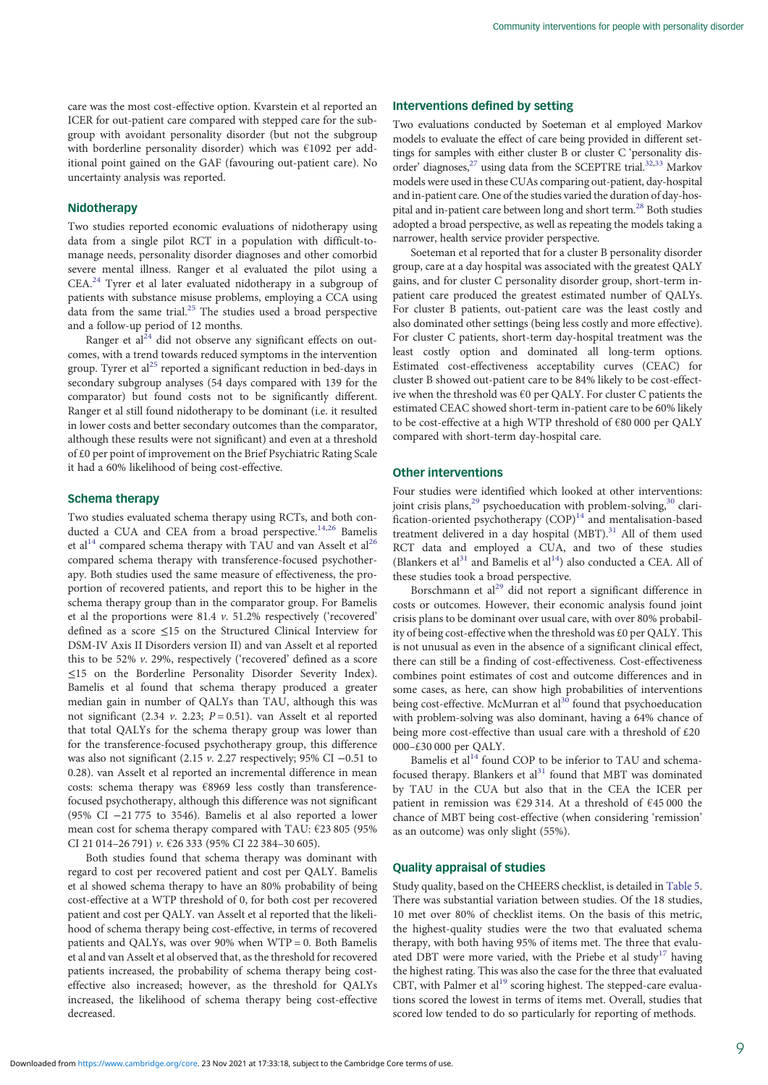care was the most cost-effective option. Kvarstein et al reported an ICER for out-patient care compared with stepped care for the subgroup with avoidant personality disorder (but not the subgroup with borderline personality disorder) which was €1092 per additional point gained on the GAF (favouring out-patient care). No uncertainty analysis was reported.

## **Nidotherapy**

Two studies reported economic evaluations of nidotherapy using data from a single pilot RCT in a population with difficult-tomanage needs, personality disorder diagnoses and other comorbid severe mental illness. Ranger et al evaluated the pilot using a CEA.<sup>[24](#page-12-0)</sup> Tyrer et al later evaluated nidotherapy in a subgroup of patients with substance misuse problems, employing a CCA using data from the same trial.[25](#page-12-0) The studies used a broad perspective and a follow-up period of 12 months.

Ranger et  $aI^{24}$  did not observe any significant effects on outcomes, with a trend towards reduced symptoms in the intervention group. Tyrer et  $al^{25}$  $al^{25}$  $al^{25}$  reported a significant reduction in bed-days in secondary subgroup analyses (54 days compared with 139 for the comparator) but found costs not to be significantly different. Ranger et al still found nidotherapy to be dominant (i.e. it resulted in lower costs and better secondary outcomes than the comparator, although these results were not significant) and even at a threshold of £0 per point of improvement on the Brief Psychiatric Rating Scale it had a 60% likelihood of being cost-effective.

## Schema therapy

Two studies evaluated schema therapy using RCTs, and both conducted a CUA and CEA from a broad perspective.<sup>14,26</sup> Bamelis et al<sup>[14](#page-12-0)</sup> compared schema therapy with TAU and van Asselt et al<sup>26</sup> compared schema therapy with transference-focused psychotherapy. Both studies used the same measure of effectiveness, the proportion of recovered patients, and report this to be higher in the schema therapy group than in the comparator group. For Bamelis et al the proportions were 81.4 v. 51.2% respectively ('recovered' defined as a score ≤15 on the Structured Clinical Interview for DSM-IV Axis II Disorders version II) and van Asselt et al reported this to be 52% v. 29%, respectively ('recovered' defined as a score ≤15 on the Borderline Personality Disorder Severity Index). Bamelis et al found that schema therapy produced a greater median gain in number of QALYs than TAU, although this was not significant (2.34 v. 2.23;  $P = 0.51$ ). van Asselt et al reported that total QALYs for the schema therapy group was lower than for the transference-focused psychotherapy group, this difference was also not significant (2.15 v. 2.27 respectively; 95% CI <sup>−</sup>0.51 to 0.28). van Asselt et al reported an incremental difference in mean costs: schema therapy was €8969 less costly than transferencefocused psychotherapy, although this difference was not significant (95% CI −21 775 to 3546). Bamelis et al also reported a lower mean cost for schema therapy compared with TAU: €23 805 (95% CI 21 014–26 791) v. €26 333 (95% CI 22 384–30 605).

Both studies found that schema therapy was dominant with regard to cost per recovered patient and cost per QALY. Bamelis et al showed schema therapy to have an 80% probability of being cost-effective at a WTP threshold of 0, for both cost per recovered patient and cost per QALY. van Asselt et al reported that the likelihood of schema therapy being cost-effective, in terms of recovered patients and QALYs, was over 90% when WTP = 0. Both Bamelis et al and van Asselt et al observed that, as the threshold for recovered patients increased, the probability of schema therapy being costeffective also increased; however, as the threshold for QALYs increased, the likelihood of schema therapy being cost-effective decreased.

## Interventions defined by setting

Two evaluations conducted by Soeteman et al employed Markov models to evaluate the effect of care being provided in different settings for samples with either cluster B or cluster C 'personality dis-order' diagnoses,<sup>27</sup> using data from the SCEPTRE trial.<sup>32,[33](#page-12-0)</sup> Markov models were used in these CUAs comparing out-patient, day-hospital and in-patient care. One of the studies varied the duration of day-hospital and in-patient care between long and short term[.28](#page-12-0) Both studies adopted a broad perspective, as well as repeating the models taking a narrower, health service provider perspective.

Soeteman et al reported that for a cluster B personality disorder group, care at a day hospital was associated with the greatest QALY gains, and for cluster C personality disorder group, short-term inpatient care produced the greatest estimated number of QALYs. For cluster B patients, out-patient care was the least costly and also dominated other settings (being less costly and more effective). For cluster C patients, short-term day-hospital treatment was the least costly option and dominated all long-term options. Estimated cost-effectiveness acceptability curves (CEAC) for cluster B showed out-patient care to be 84% likely to be cost-effective when the threshold was €0 per QALY. For cluster C patients the estimated CEAC showed short-term in-patient care to be 60% likely to be cost-effective at a high WTP threshold of €80 000 per QALY compared with short-term day-hospital care.

## Other interventions

Four studies were identified which looked at other interventions: joint crisis plans,<sup>[29](#page-12-0)</sup> psychoeducation with problem-solving,<sup>[30](#page-12-0)</sup> clarification-oriented psychotherapy  $(COP)^{14}$  $(COP)^{14}$  $(COP)^{14}$  and mentalisation-based treatment delivered in a day hospital  $(MBT)$ .<sup>[31](#page-12-0)</sup> All of them used RCT data and employed a CUA, and two of these studies (Blankers et al<sup>31</sup> and Bamelis et al<sup>14</sup>) also conducted a CEA. All of these studies took a broad perspective.

Borschmann et al<sup>[29](#page-12-0)</sup> did not report a significant difference in costs or outcomes. However, their economic analysis found joint crisis plans to be dominant over usual care, with over 80% probability of being cost-effective when the threshold was £0 per QALY. This is not unusual as even in the absence of a significant clinical effect, there can still be a finding of cost-effectiveness. Cost-effectiveness combines point estimates of cost and outcome differences and in some cases, as here, can show high probabilities of interventions being cost-effective. McMurran et al<sup>[30](#page-12-0)</sup> found that psychoeducation with problem-solving was also dominant, having a 64% chance of being more cost-effective than usual care with a threshold of £20 000–£30 000 per QALY.

Bamelis et al<sup>14</sup> found COP to be inferior to TAU and schemafocused therapy. Blankers et  $al<sup>31</sup>$  $al<sup>31</sup>$  $al<sup>31</sup>$  found that MBT was dominated by TAU in the CUA but also that in the CEA the ICER per patient in remission was €29 314. At a threshold of €45 000 the chance of MBT being cost-effective (when considering 'remission' as an outcome) was only slight (55%).

## Quality appraisal of studies

Study quality, based on the CHEERS checklist, is detailed in [Table 5.](#page-9-0) There was substantial variation between studies. Of the 18 studies, 10 met over 80% of checklist items. On the basis of this metric, the highest-quality studies were the two that evaluated schema therapy, with both having 95% of items met. The three that evalu-ated DBT were more varied, with the Priebe et al study<sup>[17](#page-12-0)</sup> having the highest rating. This was also the case for the three that evaluated CBT, with Palmer et al<sup>[19](#page-12-0)</sup> scoring highest. The stepped-care evaluations scored the lowest in terms of items met. Overall, studies that scored low tended to do so particularly for reporting of methods.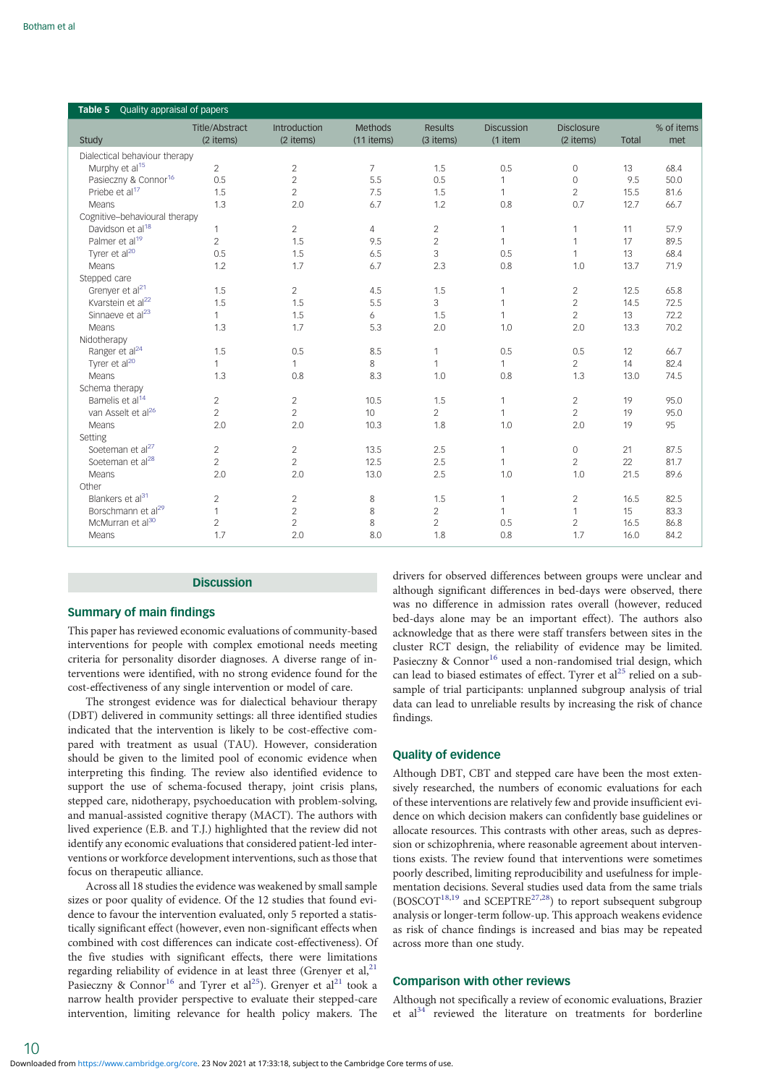<span id="page-9-0"></span>

| Quality appraisal of papers<br>Table 5 |                |                |                |                |                   |                   |              |            |  |
|----------------------------------------|----------------|----------------|----------------|----------------|-------------------|-------------------|--------------|------------|--|
|                                        | Title/Abstract | Introduction   | Methods        | Results        | <b>Discussion</b> | <b>Disclosure</b> |              | % of items |  |
| Study                                  | (2 items)      | (2 items)      | (11 items)     | (3 items)      | (1 item           | (2 items)         | <b>Total</b> | met        |  |
| Dialectical behaviour therapy          |                |                |                |                |                   |                   |              |            |  |
| Murphy et al <sup>15</sup>             | $\overline{2}$ | $\sqrt{2}$     | $\overline{7}$ | 1.5            | 0.5               | $\mathbf 0$       | 13           | 68.4       |  |
| Pasieczny & Connor <sup>16</sup>       | 0.5            | $\sqrt{2}$     | 5.5            | 0.5            | 1                 | $\circ$           | 9.5          | 50.0       |  |
| Priebe et al <sup>17</sup>             | 1.5            | $\overline{2}$ | 7.5            | 1.5            | $\mathbf{1}$      | $\overline{2}$    | 15.5         | 81.6       |  |
| Means                                  | 1.3            | 2.0            | 6.7            | 1.2            | 0.8               | 0.7               | 12.7         | 66.7       |  |
| Cognitive-behavioural therapy          |                |                |                |                |                   |                   |              |            |  |
| Davidson et al <sup>18</sup>           | $\mathbf{1}$   | $\overline{2}$ | 4              | $\overline{2}$ | $\mathbf{1}$      | $\mathbf{1}$      | 11           | 57.9       |  |
| Palmer et al <sup>19</sup>             | $\overline{2}$ | 1.5            | 9.5            | $\overline{2}$ | $\mathbf{1}$      | $\mathbf{1}$      | 17           | 89.5       |  |
| Tyrer et al <sup>20</sup>              | 0.5            | 1.5            | 6.5            | 3              | 0.5               | $\mathbf{1}$      | 13           | 68.4       |  |
| Means                                  | 1.2            | 1.7            | 6.7            | 2.3            | 0.8               | 1.0               | 13.7         | 71.9       |  |
| Stepped care                           |                |                |                |                |                   |                   |              |            |  |
| Grenyer et al <sup>21</sup>            | 1.5            | $\mathbf{2}$   | 4.5            | 1.5            | $\mathbf{1}$      | $\overline{2}$    | 12.5         | 65.8       |  |
| Kvarstein et al <sup>22</sup>          | 1.5            | 1.5            | 5.5            | 3              | $\mathbf{1}$      | $\overline{2}$    | 14.5         | 72.5       |  |
| Sinnaeve et al <sup>23</sup>           | $\mathbf{1}$   | 1.5            | 6              | 1.5            | 1                 | $\overline{2}$    | 13           | 72.2       |  |
| Means                                  | 1.3            | 1.7            | 5.3            | 2.0            | 1.0               | 2.0               | 13.3         | 70.2       |  |
| Nidotherapy                            |                |                |                |                |                   |                   |              |            |  |
| Ranger et al <sup>24</sup>             | 1.5            | 0.5            | 8.5            | $\mathbf{1}$   | 0.5               | 0.5               | 12           | 66.7       |  |
| Tyrer et al <sup>20</sup>              | $\mathbf{1}$   | $\mathbf{1}$   | 8              | $\mathbf{1}$   | $\mathbf{1}$      | $\overline{2}$    | 14           | 82.4       |  |
| Means                                  | 1.3            | 0.8            | 8.3            | 1.0            | 0.8               | 1.3               | 13.0         | 74.5       |  |
| Schema therapy                         |                |                |                |                |                   |                   |              |            |  |
| Bamelis et al <sup>14</sup>            | $\overline{2}$ | $\overline{c}$ | 10.5           | 1.5            | $\mathbf{1}$      | $\overline{2}$    | 19           | 95.0       |  |
| van Asselt et al <sup>26</sup>         | $\overline{2}$ | $\overline{c}$ | 10             | $\overline{2}$ | $\mathbf{1}$      | $\overline{2}$    | 19           | 95.0       |  |
| Means                                  | 2.0            | 2.0            | 10.3           | 1.8            | 1.0               | 2.0               | 19           | 95         |  |
| Setting                                |                |                |                |                |                   |                   |              |            |  |
| Soeteman et al <sup>27</sup>           | $\overline{2}$ | $\overline{c}$ | 13.5           | 2.5            | $\mathbf{1}$      | $\circ$           | 21           | 87.5       |  |
| Soeteman et al <sup>28</sup>           | $\overline{2}$ | $\overline{2}$ | 12.5           | 2.5            | $\mathbf{1}$      | $\overline{2}$    | 22           | 81.7       |  |
| Means                                  | 2.0            | 2.0            | 13.0           | 2.5            | 1.0               | 1.0               | 21.5         | 89.6       |  |
| Other                                  |                |                |                |                |                   |                   |              |            |  |
| Blankers et al <sup>31</sup>           | $\overline{2}$ | $\mathbf{2}$   | 8              | 1.5            | $\mathbf{1}$      | $\overline{2}$    | 16.5         | 82.5       |  |
| Borschmann et al <sup>29</sup>         | $\mathbf{1}$   | $\overline{c}$ | 8              | $\overline{c}$ | $\mathbf{1}$      | 1                 | 15           | 83.3       |  |
| McMurran et al <sup>30</sup>           | $\overline{2}$ | $\overline{c}$ | 8              | $\overline{2}$ | 0.5               | $\overline{2}$    | 16.5         | 86.8       |  |
| Means                                  | 1.7            | 2.0            | 8.0            | 1.8            | 0.8               | 1.7               | 16.0         | 84.2       |  |

#### **Discussion**

## Summary of main findings

This paper has reviewed economic evaluations of community-based interventions for people with complex emotional needs meeting criteria for personality disorder diagnoses. A diverse range of interventions were identified, with no strong evidence found for the cost-effectiveness of any single intervention or model of care.

The strongest evidence was for dialectical behaviour therapy (DBT) delivered in community settings: all three identified studies indicated that the intervention is likely to be cost-effective compared with treatment as usual (TAU). However, consideration should be given to the limited pool of economic evidence when interpreting this finding. The review also identified evidence to support the use of schema-focused therapy, joint crisis plans, stepped care, nidotherapy, psychoeducation with problem-solving, and manual-assisted cognitive therapy (MACT). The authors with lived experience (E.B. and T.J.) highlighted that the review did not identify any economic evaluations that considered patient-led interventions or workforce development interventions, such as those that focus on therapeutic alliance.

Across all 18 studies the evidence was weakened by small sample sizes or poor quality of evidence. Of the 12 studies that found evidence to favour the intervention evaluated, only 5 reported a statistically significant effect (however, even non-significant effects when combined with cost differences can indicate cost-effectiveness). Of the five studies with significant effects, there were limitations regarding reliability of evidence in at least three (Grenyer et al, $^{21}$  $^{21}$  $^{21}$ ) Pasieczny & Connor<sup>[16](#page-12-0)</sup> and Tyrer et al<sup>25</sup>). Grenyer et al<sup>21</sup> took a narrow health provider perspective to evaluate their stepped-care intervention, limiting relevance for health policy makers. The

drivers for observed differences between groups were unclear and although significant differences in bed-days were observed, there was no difference in admission rates overall (however, reduced bed-days alone may be an important effect). The authors also acknowledge that as there were staff transfers between sites in the cluster RCT design, the reliability of evidence may be limited. Pasieczny & Connor<sup>[16](#page-12-0)</sup> used a non-randomised trial design, which can lead to biased estimates of effect. Tyrer et al<sup>[25](#page-12-0)</sup> relied on a subsample of trial participants: unplanned subgroup analysis of trial data can lead to unreliable results by increasing the risk of chance findings.

## Quality of evidence

Although DBT, CBT and stepped care have been the most extensively researched, the numbers of economic evaluations for each of these interventions are relatively few and provide insufficient evidence on which decision makers can confidently base guidelines or allocate resources. This contrasts with other areas, such as depression or schizophrenia, where reasonable agreement about interventions exists. The review found that interventions were sometimes poorly described, limiting reproducibility and usefulness for implementation decisions. Several studies used data from the same trials  $(BOSCOT<sup>18,19</sup>$  $(BOSCOT<sup>18,19</sup>$  $(BOSCOT<sup>18,19</sup>$  $(BOSCOT<sup>18,19</sup>$  $(BOSCOT<sup>18,19</sup>$  and SCEPTRE<sup>[27](#page-12-0),[28](#page-12-0)</sup>) to report subsequent subgroup analysis or longer-term follow-up. This approach weakens evidence as risk of chance findings is increased and bias may be repeated across more than one study.

## Comparison with other reviews

Although not specifically a review of economic evaluations, Brazier et al<sup>34</sup> reviewed the literature on treatments for borderline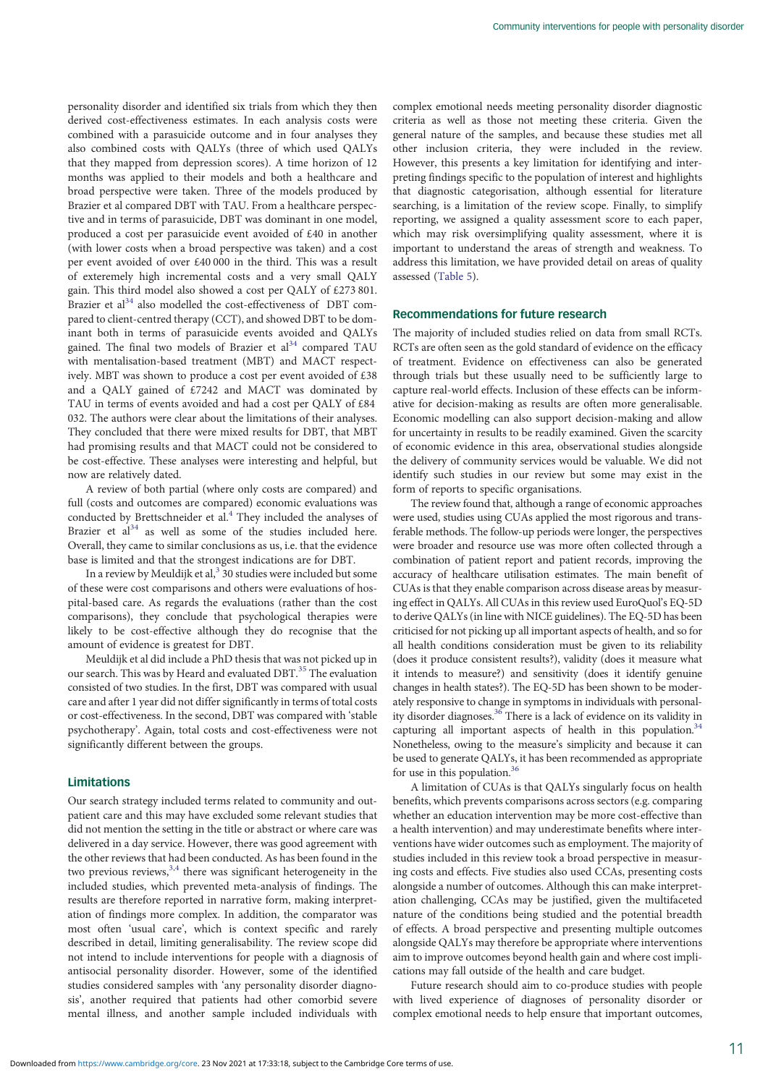personality disorder and identified six trials from which they then derived cost-effectiveness estimates. In each analysis costs were combined with a parasuicide outcome and in four analyses they also combined costs with QALYs (three of which used QALYs that they mapped from depression scores). A time horizon of 12 months was applied to their models and both a healthcare and broad perspective were taken. Three of the models produced by Brazier et al compared DBT with TAU. From a healthcare perspective and in terms of parasuicide, DBT was dominant in one model, produced a cost per parasuicide event avoided of £40 in another (with lower costs when a broad perspective was taken) and a cost per event avoided of over £40 000 in the third. This was a result of exteremely high incremental costs and a very small QALY gain. This third model also showed a cost per QALY of £273 801. Brazier et al<sup>34</sup> also modelled the cost-effectiveness of DBT compared to client-centred therapy (CCT), and showed DBT to be dominant both in terms of parasuicide events avoided and QALYs gained. The final two models of Brazier et  $al<sup>34</sup>$  compared TAU with mentalisation-based treatment (MBT) and MACT respectively. MBT was shown to produce a cost per event avoided of £38 and a QALY gained of £7242 and MACT was dominated by TAU in terms of events avoided and had a cost per QALY of £84 032. The authors were clear about the limitations of their analyses. They concluded that there were mixed results for DBT, that MBT had promising results and that MACT could not be considered to be cost-effective. These analyses were interesting and helpful, but now are relatively dated.

A review of both partial (where only costs are compared) and full (costs and outcomes are compared) economic evaluations was conducted by Brettschneider et al.<sup>[4](#page-12-0)</sup> They included the analyses of Brazier et  $al^{34}$  $al^{34}$  $al^{34}$  as well as some of the studies included here. Overall, they came to similar conclusions as us, i.e. that the evidence base is limited and that the strongest indications are for DBT.

In a review by Meuldijk et al,  $3$  30 studies were included but some of these were cost comparisons and others were evaluations of hospital-based care. As regards the evaluations (rather than the cost comparisons), they conclude that psychological therapies were likely to be cost-effective although they do recognise that the amount of evidence is greatest for DBT.

Meuldijk et al did include a PhD thesis that was not picked up in our search. This was by Heard and evaluated DBT.<sup>[35](#page-13-0)</sup> The evaluation consisted of two studies. In the first, DBT was compared with usual care and after 1 year did not differ significantly in terms of total costs or cost-effectiveness. In the second, DBT was compared with 'stable psychotherapy'. Again, total costs and cost-effectiveness were not significantly different between the groups.

## Limitations

Our search strategy included terms related to community and outpatient care and this may have excluded some relevant studies that did not mention the setting in the title or abstract or where care was delivered in a day service. However, there was good agreement with the other reviews that had been conducted. As has been found in the two previous reviews,  $3,4$  $3,4$  $3,4$  there was significant heterogeneity in the included studies, which prevented meta-analysis of findings. The results are therefore reported in narrative form, making interpretation of findings more complex. In addition, the comparator was most often 'usual care', which is context specific and rarely described in detail, limiting generalisability. The review scope did not intend to include interventions for people with a diagnosis of antisocial personality disorder. However, some of the identified studies considered samples with 'any personality disorder diagnosis', another required that patients had other comorbid severe mental illness, and another sample included individuals with

complex emotional needs meeting personality disorder diagnostic criteria as well as those not meeting these criteria. Given the general nature of the samples, and because these studies met all other inclusion criteria, they were included in the review. However, this presents a key limitation for identifying and interpreting findings specific to the population of interest and highlights that diagnostic categorisation, although essential for literature searching, is a limitation of the review scope. Finally, to simplify reporting, we assigned a quality assessment score to each paper, which may risk oversimplifying quality assessment, where it is important to understand the areas of strength and weakness. To address this limitation, we have provided detail on areas of quality assessed [\(Table 5](#page-9-0)).

## Recommendations for future research

The majority of included studies relied on data from small RCTs. RCTs are often seen as the gold standard of evidence on the efficacy of treatment. Evidence on effectiveness can also be generated through trials but these usually need to be sufficiently large to capture real-world effects. Inclusion of these effects can be informative for decision-making as results are often more generalisable. Economic modelling can also support decision-making and allow for uncertainty in results to be readily examined. Given the scarcity of economic evidence in this area, observational studies alongside the delivery of community services would be valuable. We did not identify such studies in our review but some may exist in the form of reports to specific organisations.

The review found that, although a range of economic approaches were used, studies using CUAs applied the most rigorous and transferable methods. The follow-up periods were longer, the perspectives were broader and resource use was more often collected through a combination of patient report and patient records, improving the accuracy of healthcare utilisation estimates. The main benefit of CUAs is that they enable comparison across disease areas by measuring effect in QALYs. All CUAs in this review used EuroQuol's EQ-5D to derive QALYs (in line with NICE guidelines). The EQ-5D has been criticised for not picking up all important aspects of health, and so for all health conditions consideration must be given to its reliability (does it produce consistent results?), validity (does it measure what it intends to measure?) and sensitivity (does it identify genuine changes in health states?). The EQ-5D has been shown to be moderately responsive to change in symptoms in individuals with personality disorder diagnoses.<sup>36</sup> There is a lack of evidence on its validity in capturing all important aspects of health in this population. $34$ Nonetheless, owing to the measure's simplicity and because it can be used to generate QALYs, it has been recommended as appropriate for use in this population.<sup>36</sup>

A limitation of CUAs is that QALYs singularly focus on health benefits, which prevents comparisons across sectors (e.g. comparing whether an education intervention may be more cost-effective than a health intervention) and may underestimate benefits where interventions have wider outcomes such as employment. The majority of studies included in this review took a broad perspective in measuring costs and effects. Five studies also used CCAs, presenting costs alongside a number of outcomes. Although this can make interpretation challenging, CCAs may be justified, given the multifaceted nature of the conditions being studied and the potential breadth of effects. A broad perspective and presenting multiple outcomes alongside QALYs may therefore be appropriate where interventions aim to improve outcomes beyond health gain and where cost implications may fall outside of the health and care budget.

Future research should aim to co-produce studies with people with lived experience of diagnoses of personality disorder or complex emotional needs to help ensure that important outcomes,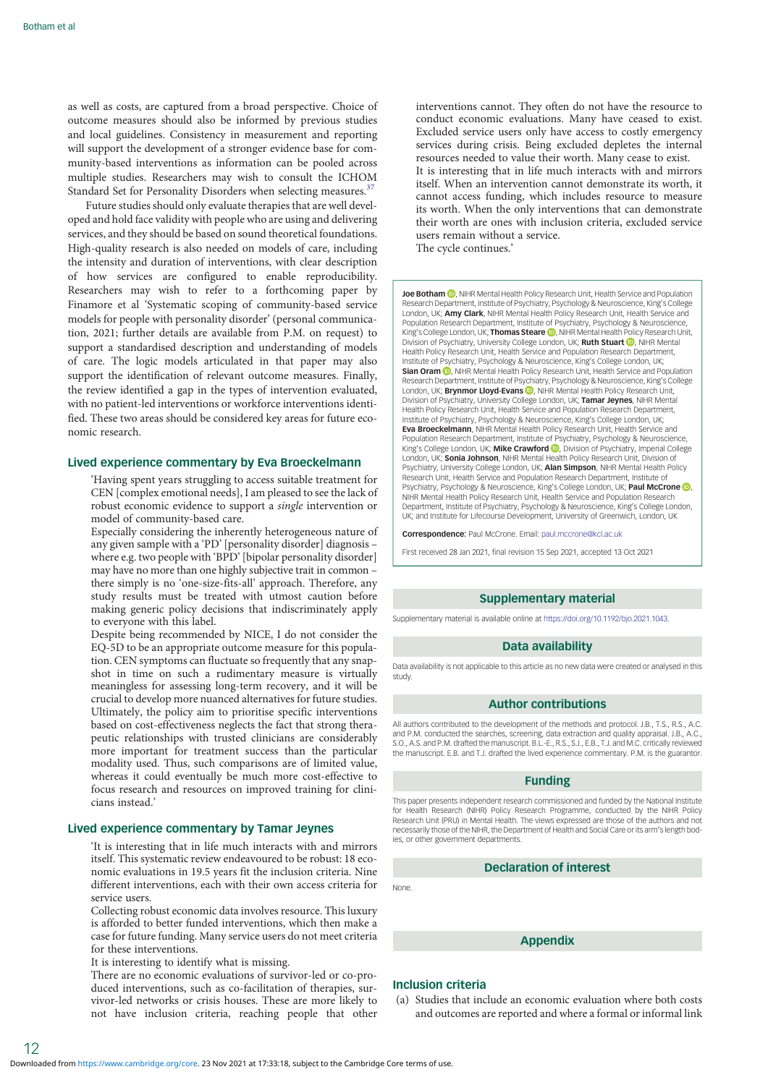as well as costs, are captured from a broad perspective. Choice of outcome measures should also be informed by previous studies and local guidelines. Consistency in measurement and reporting will support the development of a stronger evidence base for community-based interventions as information can be pooled across multiple studies. Researchers may wish to consult the ICHOM Standard Set for Personality Disorders when selecting measures.<sup>37</sup>

Future studies should only evaluate therapies that are well developed and hold face validity with people who are using and delivering services, and they should be based on sound theoretical foundations. High-quality research is also needed on models of care, including the intensity and duration of interventions, with clear description of how services are configured to enable reproducibility. Researchers may wish to refer to a forthcoming paper by Finamore et al 'Systematic scoping of community-based service models for people with personality disorder' (personal communication, 2021; further details are available from P.M. on request) to support a standardised description and understanding of models of care. The logic models articulated in that paper may also support the identification of relevant outcome measures. Finally, the review identified a gap in the types of intervention evaluated, with no patient-led interventions or workforce interventions identified. These two areas should be considered key areas for future economic research.

#### Lived experience commentary by Eva Broeckelmann

'Having spent years struggling to access suitable treatment for CEN [complex emotional needs], I am pleased to see the lack of robust economic evidence to support a single intervention or model of community-based care.

Especially considering the inherently heterogeneous nature of any given sample with a 'PD' [personality disorder] diagnosis – where e.g. two people with 'BPD' [bipolar personality disorder] may have no more than one highly subjective trait in common – there simply is no 'one-size-fits-all' approach. Therefore, any study results must be treated with utmost caution before making generic policy decisions that indiscriminately apply to everyone with this label.

Despite being recommended by NICE, I do not consider the EQ-5D to be an appropriate outcome measure for this population. CEN symptoms can fluctuate so frequently that any snapshot in time on such a rudimentary measure is virtually meaningless for assessing long-term recovery, and it will be crucial to develop more nuanced alternatives for future studies. Ultimately, the policy aim to prioritise specific interventions based on cost-effectiveness neglects the fact that strong therapeutic relationships with trusted clinicians are considerably more important for treatment success than the particular modality used. Thus, such comparisons are of limited value, whereas it could eventually be much more cost-effective to focus research and resources on improved training for clinicians instead.'

#### Lived experience commentary by Tamar Jeynes

'It is interesting that in life much interacts with and mirrors itself. This systematic review endeavoured to be robust: 18 economic evaluations in 19.5 years fit the inclusion criteria. Nine different interventions, each with their own access criteria for service users.

Collecting robust economic data involves resource. This luxury is afforded to better funded interventions, which then make a case for future funding. Many service users do not meet criteria for these interventions.

It is interesting to identify what is missing.

There are no economic evaluations of survivor-led or co-produced interventions, such as co-facilitation of therapies, survivor-led networks or crisis houses. These are more likely to not have inclusion criteria, reaching people that other

interventions cannot. They often do not have the resource to conduct economic evaluations. Many have ceased to exist. Excluded service users only have access to costly emergency services during crisis. Being excluded depletes the internal resources needed to value their worth. Many cease to exist. It is interesting that in life much interacts with and mirrors itself. When an intervention cannot demonstrate its worth, it cannot access funding, which includes resource to measure its worth. When the only interventions that can demonstrate their worth are ones with inclusion criteria, excluded service users remain without a service. The cycle continues.'

Joe Botham **D**, NIHR Mental Health Policy Research Unit, Health Service and Population Research Department, Institute of Psychiatry, Psychology & Neuroscience, King's College London, UK; **Amy Clark**, NIHR Mental Health Policy Research Unit, Health Service and Population Research Department, Institute of Psychiatry, Psychology & Neuroscience, King's College London[,](https://orcid.org/0000-0002-3881-2018) UK; Thomas Steare **D**, NIHR Mental Health Policy Research Unit, Division of Psychiatry, University College London, UK; **Ruth Stuart (D)**, NIHR Menta<br>Health Policy Research Unit, Health Service and Population Research Department, Institute of Psychiatry, Psychology & Neuroscience, King's College London, UK; Sian Oram **(b)**[,](https://orcid.org/0000-0001-8704-0379) NIHR Mental Health Policy Research Unit, Health Service and Population Research Department, Institute of Psychiatry, Psychology & Neuroscience, King's College London[,](https://orcid.org/0000-0001-9866-788X) UK; Brynmor Lloyd-Evans . NIHR Mental Health Policy Research Division of Psychiatry, University College London, UK; **Tamar Jeynes**, NIHR Mental<br>Health Policy Research Unit, Health Service and Population Research Department, Institute of Psychiatry, Psychology & Neuroscience, King's College London, UK; **Eva Broeckelmann**, NIHR Mental Health Policy Research Unit, Health Service and<br>Population Research Department, Institute of Psychiatry, Psychology & Neuroscience, King's College London[,](https://orcid.org/0000-0003-3137-5772) UK; Mike Crawford **D**, Division of Psychiatry, Imperial College London, UK; Sonia Johnson, NIHR Mental Health Policy Research Unit, Division of Psychiatry, University College London, UK; Alan Simpson, NIHR Mental Health Policy Research Unit, Health Service and Population Research Department, Institute of Psychiatry[,](https://orcid.org/0000-0001-7001-4502) Psychology & Neuroscience, King's College London, UK; Paul McCrone . NIHR Mental Health Policy Research Unit, Health Service and Population Research Department, Institute of Psychiatry, Psychology & Neuroscience, King's College London, UK; and Institute for Lifecourse Development, University of Greenwich, London, UK

Correspondence: Paul McCrone. Email: [paul.mccrone@kcl.ac.uk](mailto:paul.mccrone@kcl.ac.uk)

First received 28 Jan 2021, final revision 15 Sep 2021, accepted 13 Oct 2021

#### Supplementary material

Supplementary material is available online at <https://doi.org/10.1192/bjo.2021.1043>.

#### Data availability

Data availability is not applicable to this article as no new data were created or analysed in this study.

#### Author contributions

All authors contributed to the development of the methods and protocol. J.B., T.S., R.S., A.C. and P.M. conducted the searches, screening, data extraction and quality appraisal. J.B., A.C., S.O., A.S. and P.M. drafted the manuscript. B.L.-E., R.S., S.J., E.B., T.J. and M.C. critically reviewed the manuscript. E.B. and T.J. drafted the lived experience commentary. P.M. is the guarantor.

#### Funding

This paper presents independent research commissioned and funded by the National Institute for Health Research (NIHR) Policy Research Programme, conducted by the NIHR Policy Research Unit (PRU) in Mental Health. The views expressed are those of the authors and not necessarily those of the NIHR, the Department of Health and Social Care or its arm's length bodies, or other government departments.

#### Declaration of interest

None.

## Appendix

## Inclusion criteria

(a) Studies that include an economic evaluation where both costs and outcomes are reported and where a formal or informal link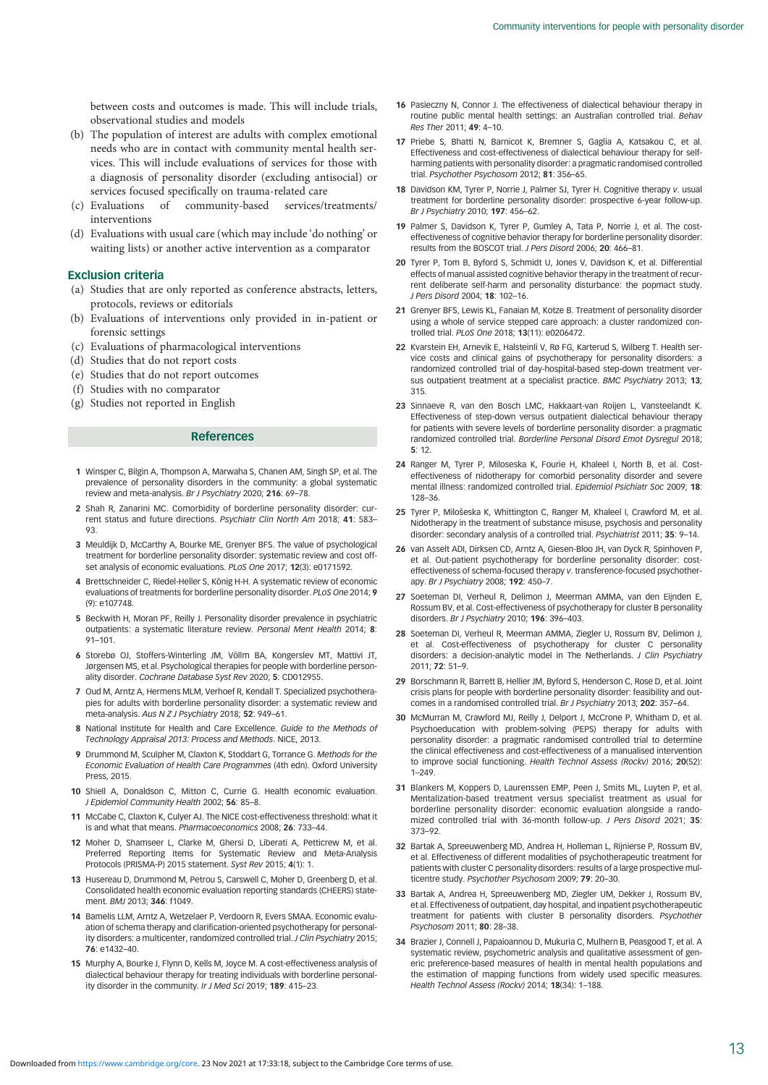<span id="page-12-0"></span>between costs and outcomes is made. This will include trials, observational studies and models

- (b) The population of interest are adults with complex emotional needs who are in contact with community mental health services. This will include evaluations of services for those with a diagnosis of personality disorder (excluding antisocial) or services focused specifically on trauma-related care
- (c) Evaluations of community-based services/treatments/ interventions
- (d) Evaluations with usual care (which may include 'do nothing' or waiting lists) or another active intervention as a comparator

## Exclusion criteria

- (a) Studies that are only reported as conference abstracts, letters, protocols, reviews or editorials
- (b) Evaluations of interventions only provided in in-patient or forensic settings
- (c) Evaluations of pharmacological interventions
- (d) Studies that do not report costs
- (e) Studies that do not report outcomes
- (f) Studies with no comparator
- (g) Studies not reported in English

#### References

- 1 Winsper C, Bilgin A, Thompson A, Marwaha S, Chanen AM, Singh SP, et al. The prevalence of personality disorders in the community: a global systematic review and meta-analysis. Br J Psychiatry 2020; 216: 69–78.
- 2 Shah R, Zanarini MC. Comorbidity of borderline personality disorder: current status and future directions. Psychiatr Clin North Am 2018; 41: 583– 93.
- 3 Meuldijk D, McCarthy A, Bourke ME, Grenyer BFS. The value of psychological treatment for borderline personality disorder: systematic review and cost offset analysis of economic evaluations. PLoS One 2017; 12(3): e0171592.
- 4 Brettschneider C, Riedel-Heller S, König H-H. A systematic review of economic evaluations of treatments for borderline personality disorder. PLoS One 2014; 9 (9): e107748.
- 5 Beckwith H, Moran PF, Reilly J. Personality disorder prevalence in psychiatric outpatients: a systematic literature review. Personal Ment Health 2014; 8: 91–101.
- 6 Storebø OJ, Stoffers-Winterling JM, Völlm BA, Kongerslev MT, Mattivi JT, Jørgensen MS, et al. Psychological therapies for people with borderline personality disorder. Cochrane Database Syst Rev 2020; 5: CD012955.
- 7 Oud M, Arntz A, Hermens MLM, Verhoef R, Kendall T. Specialized psychotherapies for adults with borderline personality disorder: a systematic review and meta-analysis. Aus N Z J Psychiatry 2018; 52: 949–61.
- 8 National Institute for Health and Care Excellence. Guide to the Methods of Technology Appraisal 2013: Process and Methods. NICE, 2013.
- 9 Drummond M, Sculpher M, Claxton K, Stoddart G, Torrance G. Methods for the Economic Evaluation of Health Care Programmes (4th edn). Oxford University Press, 2015.
- 10 Shiell A, Donaldson C, Mitton C, Currie G. Health economic evaluation. J Epidemiol Community Health 2002; 56: 85–8.
- 11 McCabe C, Claxton K, Culyer AJ. The NICE cost-effectiveness threshold: what it is and what that means. Pharmacoeconomics 2008; 26: 733–44.
- 12 Moher D, Shamseer L, Clarke M, Ghersi D, Liberati A, Petticrew M, et al. Preferred Reporting Items for Systematic Review and Meta-Analysis Protocols (PRISMA-P) 2015 statement. Syst Rev 2015; 4(1): 1.
- 13 Husereau D, Drummond M, Petrou S, Carswell C, Moher D, Greenberg D, et al. Consolidated health economic evaluation reporting standards (CHEERS) statement. BMJ 2013; 346: f1049.
- 14 Bamelis LLM, Arntz A, Wetzelaer P, Verdoorn R, Evers SMAA. Economic evaluation of schema therapy and clarification-oriented psychotherapy for personality disorders: a multicenter, randomized controlled trial. J Clin Psychiatry 2015: 76: e1432–40.
- 15 Murphy A, Bourke J, Flynn D, Kells M, Joyce M. A cost-effectiveness analysis of dialectical behaviour therapy for treating individuals with borderline personality disorder in the community. Ir J Med Sci 2019; 189: 415–23.
- 16 Pasieczny N, Connor J. The effectiveness of dialectical behaviour therapy in routine public mental health settings: an Australian controlled trial. Behav Res Ther 2011; 49: 4–10.
- 17 Priebe S, Bhatti N, Barnicot K, Bremner S, Gaglia A, Katsakou C, et al. Effectiveness and cost-effectiveness of dialectical behaviour therapy for selfharming patients with personality disorder: a pragmatic randomised controlled trial. Psychother Psychosom 2012; 81: 356–65.
- 18 Davidson KM, Tyrer P, Norrie J, Palmer SJ, Tyrer H, Cognitive therapy v. usual treatment for borderline personality disorder: prospective 6-year follow-up. Br J Psychiatry 2010; 197: 456–62.
- 19 Palmer S, Davidson K, Tyrer P, Gumley A, Tata P, Norrie J, et al. The costeffectiveness of cognitive behavior therapy for borderline personality disorder: results from the BOSCOT trial. J Pers Disord 2006; 20: 466–81.
- 20 Tyrer P, Tom B, Byford S, Schmidt U, Jones V, Davidson K, et al. Differential effects of manual assisted cognitive behavior therapy in the treatment of recurrent deliberate self-harm and personality disturbance: the popmact study. J Pers Disord 2004; 18: 102–16.
- 21 Grenyer BFS, Lewis KL, Fanaian M, Kotze B. Treatment of personality disorder using a whole of service stepped care approach: a cluster randomized controlled trial. PLoS One 2018; 13(11): e0206472.
- 22 Kvarstein EH, Arnevik E, Halsteinli V, Rø FG, Karterud S, Wilberg T. Health service costs and clinical gains of psychotherapy for personality disorders: a randomized controlled trial of day-hospital-based step-down treatment versus outpatient treatment at a specialist practice. BMC Psychiatry 2013; 13; 315.
- 23 Sinnaeve R, van den Bosch LMC, Hakkaart-van Roijen L, Vansteelandt K. Effectiveness of step-down versus outpatient dialectical behaviour therapy for patients with severe levels of borderline personality disorder: a pragmatic randomized controlled trial. Borderline Personal Disord Emot Dysregul 2018; 5: 12.
- 24 Ranger M, Tyrer P, Miloseska K, Fourie H, Khaleel I, North B, et al. Costeffectiveness of nidotherapy for comorbid personality disorder and severe mental illness: randomized controlled trial. Epidemiol Psichiatr Soc 2009; 18: 128–36.
- 25 Tyrer P, Milošeska K, Whittington C, Ranger M, Khaleel I, Crawford M, et al. Nidotherapy in the treatment of substance misuse, psychosis and personality disorder: secondary analysis of a controlled trial. Psychiatrist 2011; 35: 9–14.
- 26 van Asselt ADI, Dirksen CD, Arntz A, Giesen-Bloo JH, van Dyck R, Spinhoven P, et al. Out-patient psychotherapy for borderline personality disorder: costeffectiveness of schema-focused therapy v. transference-focused psychotherapy. Br J Psychiatry 2008; 192: 450–7.
- 27 Soeteman DI, Verheul R, Delimon J, Meerman AMMA, van den Eijnden E, Rossum BV, et al. Cost-effectiveness of psychotherapy for cluster B personality disorders. Br J Psychiatry 2010; 196: 396–403.
- 28 Soeteman DI, Verheul R, Meerman AMMA, Ziegler U, Rossum BV, Delimon J, et al. Cost-effectiveness of psychotherapy for cluster C personality disorders: a decision-analytic model in The Netherlands. J Clin Psychiatry 2011; 72: 51–9.
- 29 Borschmann R, Barrett B, Hellier JM, Byford S, Henderson C, Rose D, et al. Joint crisis plans for people with borderline personality disorder: feasibility and outcomes in a randomised controlled trial. Br J Psychiatry 2013; 202: 357–64.
- 30 McMurran M, Crawford MJ, Reilly J, Delport J, McCrone P, Whitham D, et al. Psychoeducation with problem-solving (PEPS) therapy for adults with personality disorder: a pragmatic randomised controlled trial to determine the clinical effectiveness and cost-effectiveness of a manualised intervention to improve social functioning. Health Technol Assess (Rockv) 2016; 20(52): 1–249.
- 31 Blankers M, Koppers D, Laurenssen EMP, Peen J, Smits ML, Luyten P, et al. Mentalization-based treatment versus specialist treatment as usual for borderline personality disorder: economic evaluation alongside a randomized controlled trial with 36-month follow-up. J Pers Disord 2021; 35: 373–92.
- 32 Bartak A, Spreeuwenberg MD, Andrea H, Holleman L, Rijnierse P, Rossum BV, et al. Effectiveness of different modalities of psychotherapeutic treatment for patients with cluster C personality disorders: results of a large prospective multicentre study. Psychother Psychosom 2009; 79: 20–30.
- 33 Bartak A, Andrea H, Spreeuwenberg MD, Ziegler UM, Dekker J, Rossum BV, et al. Effectiveness of outpatient, day hospital, and inpatient psychotherapeutic treatment for patients with cluster B personality disorders. Psychother Psychosom 2011; 80: 28–38.
- 34 Brazier J, Connell J, Papaioannou D, Mukuria C, Mulhern B, Peasgood T, et al. A systematic review, psychometric analysis and qualitative assessment of generic preference-based measures of health in mental health populations and the estimation of mapping functions from widely used specific measures. Health Technol Assess (Rockv) 2014; 18(34): 1–188.